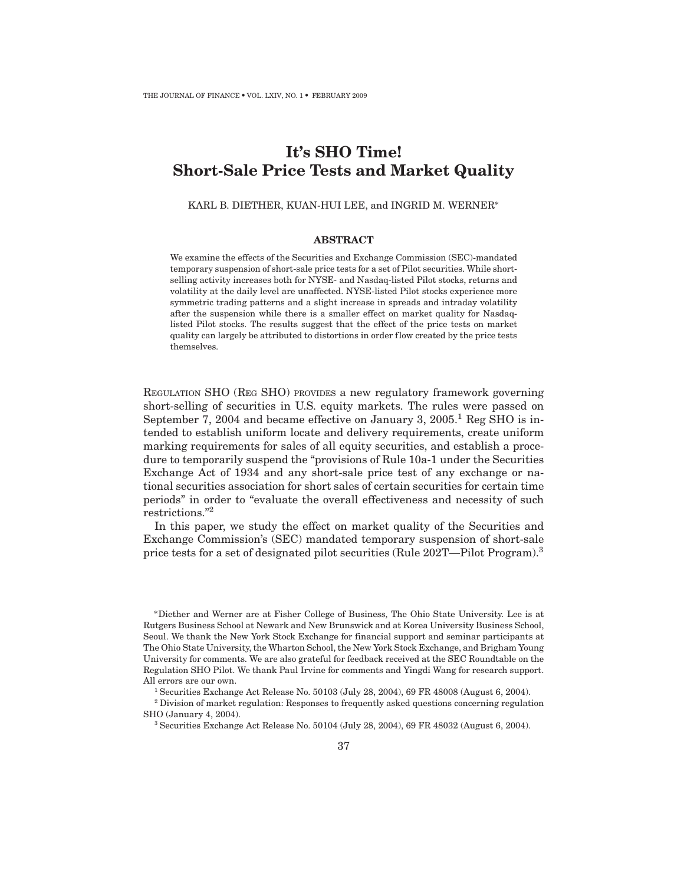# **It's SHO Time! Short-Sale Price Tests and Market Quality**

### KARL B. DIETHER, KUAN-HUI LEE, and INGRID M. WERNER∗

### **ABSTRACT**

We examine the effects of the Securities and Exchange Commission (SEC)-mandated temporary suspension of short-sale price tests for a set of Pilot securities. While shortselling activity increases both for NYSE- and Nasdaq-listed Pilot stocks, returns and volatility at the daily level are unaffected. NYSE-listed Pilot stocks experience more symmetric trading patterns and a slight increase in spreads and intraday volatility after the suspension while there is a smaller effect on market quality for Nasdaqlisted Pilot stocks. The results suggest that the effect of the price tests on market quality can largely be attributed to distortions in order flow created by the price tests themselves.

REGULATION SHO (REG SHO) PROVIDES a new regulatory framework governing short-selling of securities in U.S. equity markets. The rules were passed on September 7, 2004 and became effective on January 3, 2005.<sup>1</sup> Reg SHO is intended to establish uniform locate and delivery requirements, create uniform marking requirements for sales of all equity securities, and establish a procedure to temporarily suspend the "provisions of Rule 10a-1 under the Securities Exchange Act of 1934 and any short-sale price test of any exchange or national securities association for short sales of certain securities for certain time periods" in order to "evaluate the overall effectiveness and necessity of such restrictions."2

In this paper, we study the effect on market quality of the Securities and Exchange Commission's (SEC) mandated temporary suspension of short-sale price tests for a set of designated pilot securities (Rule 202T—Pilot Program).<sup>3</sup>

<sup>∗</sup>Diether and Werner are at Fisher College of Business, The Ohio State University. Lee is at Rutgers Business School at Newark and New Brunswick and at Korea University Business School, Seoul. We thank the New York Stock Exchange for financial support and seminar participants at The Ohio State University, the Wharton School, the New York Stock Exchange, and Brigham Young University for comments. We are also grateful for feedback received at the SEC Roundtable on the Regulation SHO Pilot. We thank Paul Irvine for comments and Yingdi Wang for research support. All errors are our own.

<sup>1</sup> Securities Exchange Act Release No. 50103 (July 28, 2004), 69 FR 48008 (August 6, 2004).

<sup>&</sup>lt;sup>2</sup> Division of market regulation: Responses to frequently asked questions concerning regulation SHO (January 4, 2004).

<sup>&</sup>lt;sup>3</sup> Securities Exchange Act Release No.  $50104$  (July 28, 2004), 69 FR 48032 (August 6, 2004).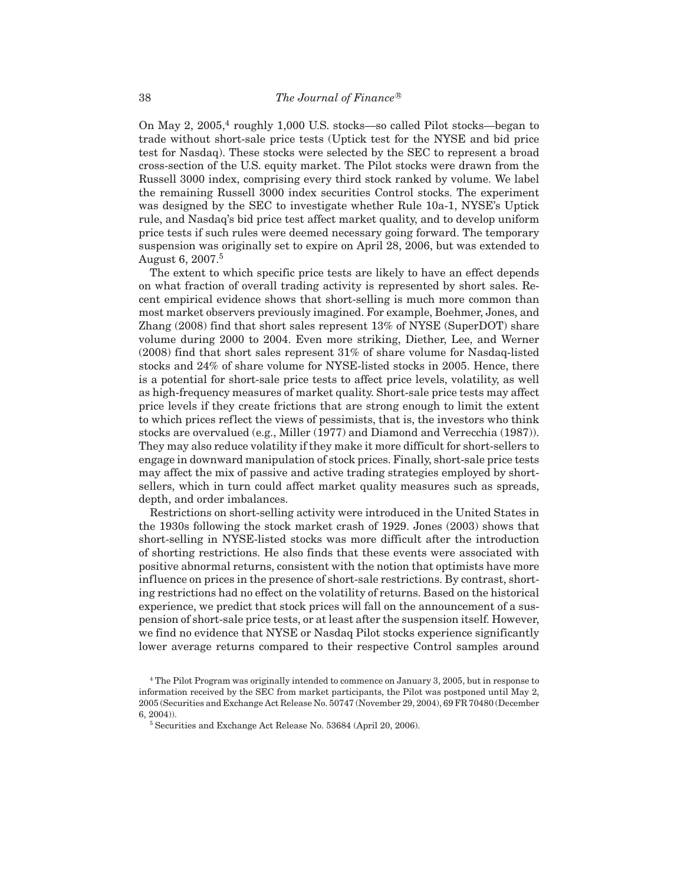On May 2, 2005,<sup>4</sup> roughly 1,000 U.S. stocks—so called Pilot stocks—began to trade without short-sale price tests (Uptick test for the NYSE and bid price test for Nasdaq). These stocks were selected by the SEC to represent a broad cross-section of the U.S. equity market. The Pilot stocks were drawn from the Russell 3000 index, comprising every third stock ranked by volume. We label the remaining Russell 3000 index securities Control stocks. The experiment was designed by the SEC to investigate whether Rule 10a-1, NYSE's Uptick rule, and Nasdaq's bid price test affect market quality, and to develop uniform price tests if such rules were deemed necessary going forward. The temporary suspension was originally set to expire on April 28, 2006, but was extended to August 6, 2007.<sup>5</sup>

The extent to which specific price tests are likely to have an effect depends on what fraction of overall trading activity is represented by short sales. Recent empirical evidence shows that short-selling is much more common than most market observers previously imagined. For example, Boehmer, Jones, and Zhang (2008) find that short sales represent 13% of NYSE (SuperDOT) share volume during 2000 to 2004. Even more striking, Diether, Lee, and Werner (2008) find that short sales represent 31% of share volume for Nasdaq-listed stocks and 24% of share volume for NYSE-listed stocks in 2005. Hence, there is a potential for short-sale price tests to affect price levels, volatility, as well as high-frequency measures of market quality. Short-sale price tests may affect price levels if they create frictions that are strong enough to limit the extent to which prices ref lect the views of pessimists, that is, the investors who think stocks are overvalued (e.g., Miller (1977) and Diamond and Verrecchia (1987)). They may also reduce volatility if they make it more difficult for short-sellers to engage in downward manipulation of stock prices. Finally, short-sale price tests may affect the mix of passive and active trading strategies employed by shortsellers, which in turn could affect market quality measures such as spreads, depth, and order imbalances.

Restrictions on short-selling activity were introduced in the United States in the 1930s following the stock market crash of 1929. Jones (2003) shows that short-selling in NYSE-listed stocks was more difficult after the introduction of shorting restrictions. He also finds that these events were associated with positive abnormal returns, consistent with the notion that optimists have more inf luence on prices in the presence of short-sale restrictions. By contrast, shorting restrictions had no effect on the volatility of returns. Based on the historical experience, we predict that stock prices will fall on the announcement of a suspension of short-sale price tests, or at least after the suspension itself. However, we find no evidence that NYSE or Nasdaq Pilot stocks experience significantly lower average returns compared to their respective Control samples around

<sup>4</sup> The Pilot Program was originally intended to commence on January 3, 2005, but in response to information received by the SEC from market participants, the Pilot was postponed until May 2, 2005 (Securities and Exchange Act Release No. 50747 (November 29, 2004), 69 FR 70480 (December 6, 2004)).

<sup>5</sup> Securities and Exchange Act Release No. 53684 (April 20, 2006).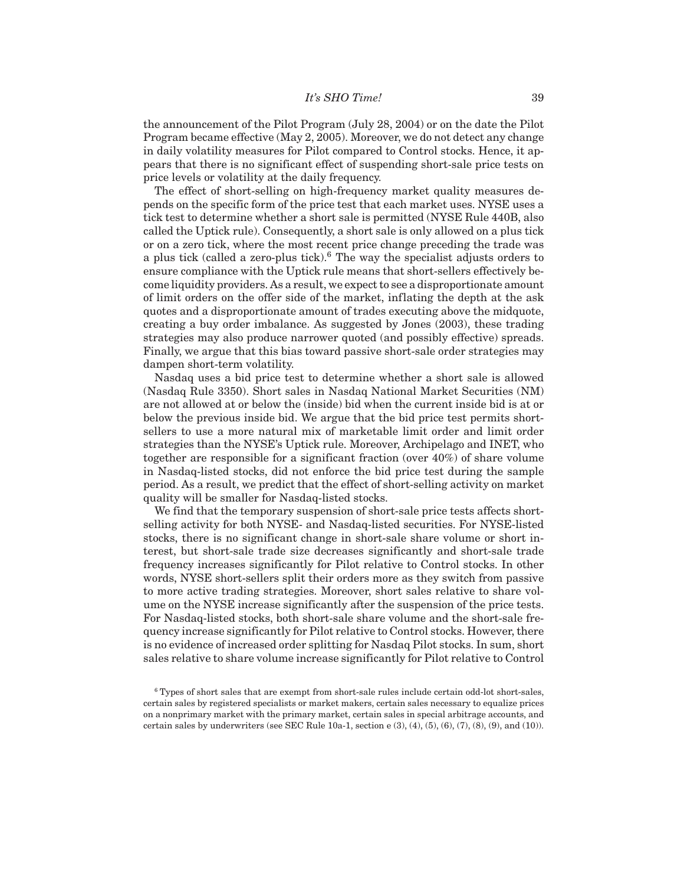the announcement of the Pilot Program (July 28, 2004) or on the date the Pilot Program became effective (May 2, 2005). Moreover, we do not detect any change in daily volatility measures for Pilot compared to Control stocks. Hence, it appears that there is no significant effect of suspending short-sale price tests on price levels or volatility at the daily frequency.

The effect of short-selling on high-frequency market quality measures depends on the specific form of the price test that each market uses. NYSE uses a tick test to determine whether a short sale is permitted (NYSE Rule 440B, also called the Uptick rule). Consequently, a short sale is only allowed on a plus tick or on a zero tick, where the most recent price change preceding the trade was a plus tick (called a zero-plus tick).<sup>6</sup> The way the specialist adjusts orders to ensure compliance with the Uptick rule means that short-sellers effectively become liquidity providers. As a result, we expect to see a disproportionate amount of limit orders on the offer side of the market, inf lating the depth at the ask quotes and a disproportionate amount of trades executing above the midquote, creating a buy order imbalance. As suggested by Jones (2003), these trading strategies may also produce narrower quoted (and possibly effective) spreads. Finally, we argue that this bias toward passive short-sale order strategies may dampen short-term volatility.

Nasdaq uses a bid price test to determine whether a short sale is allowed (Nasdaq Rule 3350). Short sales in Nasdaq National Market Securities (NM) are not allowed at or below the (inside) bid when the current inside bid is at or below the previous inside bid. We argue that the bid price test permits shortsellers to use a more natural mix of marketable limit order and limit order strategies than the NYSE's Uptick rule. Moreover, Archipelago and INET, who together are responsible for a significant fraction (over 40%) of share volume in Nasdaq-listed stocks, did not enforce the bid price test during the sample period. As a result, we predict that the effect of short-selling activity on market quality will be smaller for Nasdaq-listed stocks.

We find that the temporary suspension of short-sale price tests affects shortselling activity for both NYSE- and Nasdaq-listed securities. For NYSE-listed stocks, there is no significant change in short-sale share volume or short interest, but short-sale trade size decreases significantly and short-sale trade frequency increases significantly for Pilot relative to Control stocks. In other words, NYSE short-sellers split their orders more as they switch from passive to more active trading strategies. Moreover, short sales relative to share volume on the NYSE increase significantly after the suspension of the price tests. For Nasdaq-listed stocks, both short-sale share volume and the short-sale frequency increase significantly for Pilot relative to Control stocks. However, there is no evidence of increased order splitting for Nasdaq Pilot stocks. In sum, short sales relative to share volume increase significantly for Pilot relative to Control

<sup>6</sup> Types of short sales that are exempt from short-sale rules include certain odd-lot short-sales, certain sales by registered specialists or market makers, certain sales necessary to equalize prices on a nonprimary market with the primary market, certain sales in special arbitrage accounts, and certain sales by underwriters (see SEC Rule 10a-1, section e  $(3)$ ,  $(4)$ ,  $(5)$ ,  $(6)$ ,  $(7)$ ,  $(8)$ ,  $(9)$ , and  $(10)$ ).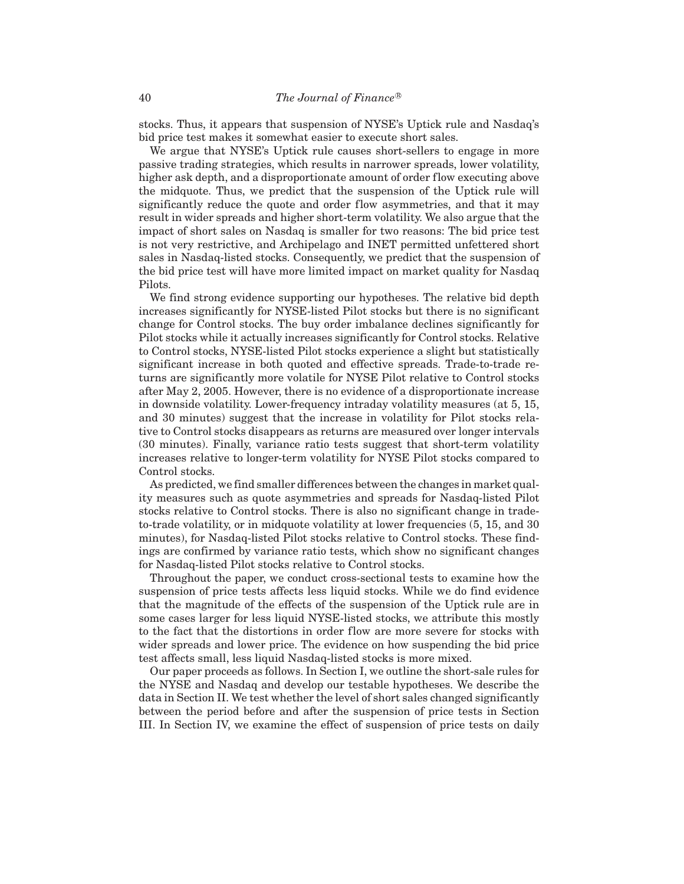stocks. Thus, it appears that suspension of NYSE's Uptick rule and Nasdaq's bid price test makes it somewhat easier to execute short sales.

We argue that NYSE's Uptick rule causes short-sellers to engage in more passive trading strategies, which results in narrower spreads, lower volatility, higher ask depth, and a disproportionate amount of order flow executing above the midquote. Thus, we predict that the suspension of the Uptick rule will significantly reduce the quote and order flow asymmetries, and that it may result in wider spreads and higher short-term volatility. We also argue that the impact of short sales on Nasdaq is smaller for two reasons: The bid price test is not very restrictive, and Archipelago and INET permitted unfettered short sales in Nasdaq-listed stocks. Consequently, we predict that the suspension of the bid price test will have more limited impact on market quality for Nasdaq Pilots.

We find strong evidence supporting our hypotheses. The relative bid depth increases significantly for NYSE-listed Pilot stocks but there is no significant change for Control stocks. The buy order imbalance declines significantly for Pilot stocks while it actually increases significantly for Control stocks. Relative to Control stocks, NYSE-listed Pilot stocks experience a slight but statistically significant increase in both quoted and effective spreads. Trade-to-trade returns are significantly more volatile for NYSE Pilot relative to Control stocks after May 2, 2005. However, there is no evidence of a disproportionate increase in downside volatility. Lower-frequency intraday volatility measures (at 5, 15, and 30 minutes) suggest that the increase in volatility for Pilot stocks relative to Control stocks disappears as returns are measured over longer intervals (30 minutes). Finally, variance ratio tests suggest that short-term volatility increases relative to longer-term volatility for NYSE Pilot stocks compared to Control stocks.

As predicted, we find smaller differences between the changes in market quality measures such as quote asymmetries and spreads for Nasdaq-listed Pilot stocks relative to Control stocks. There is also no significant change in tradeto-trade volatility, or in midquote volatility at lower frequencies (5, 15, and 30 minutes), for Nasdaq-listed Pilot stocks relative to Control stocks. These findings are confirmed by variance ratio tests, which show no significant changes for Nasdaq-listed Pilot stocks relative to Control stocks.

Throughout the paper, we conduct cross-sectional tests to examine how the suspension of price tests affects less liquid stocks. While we do find evidence that the magnitude of the effects of the suspension of the Uptick rule are in some cases larger for less liquid NYSE-listed stocks, we attribute this mostly to the fact that the distortions in order flow are more severe for stocks with wider spreads and lower price. The evidence on how suspending the bid price test affects small, less liquid Nasdaq-listed stocks is more mixed.

Our paper proceeds as follows. In Section I, we outline the short-sale rules for the NYSE and Nasdaq and develop our testable hypotheses. We describe the data in Section II. We test whether the level of short sales changed significantly between the period before and after the suspension of price tests in Section III. In Section IV, we examine the effect of suspension of price tests on daily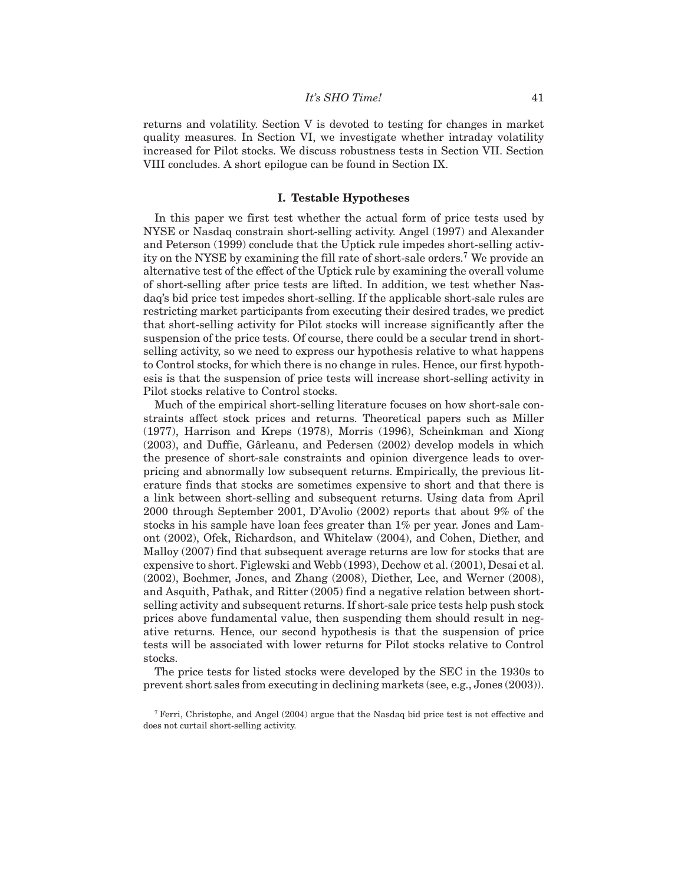returns and volatility. Section V is devoted to testing for changes in market quality measures. In Section VI, we investigate whether intraday volatility increased for Pilot stocks. We discuss robustness tests in Section VII. Section VIII concludes. A short epilogue can be found in Section IX.

# **I. Testable Hypotheses**

In this paper we first test whether the actual form of price tests used by NYSE or Nasdaq constrain short-selling activity. Angel (1997) and Alexander and Peterson (1999) conclude that the Uptick rule impedes short-selling activity on the NYSE by examining the fill rate of short-sale orders.<sup>7</sup> We provide an alternative test of the effect of the Uptick rule by examining the overall volume of short-selling after price tests are lifted. In addition, we test whether Nasdaq's bid price test impedes short-selling. If the applicable short-sale rules are restricting market participants from executing their desired trades, we predict that short-selling activity for Pilot stocks will increase significantly after the suspension of the price tests. Of course, there could be a secular trend in shortselling activity, so we need to express our hypothesis relative to what happens to Control stocks, for which there is no change in rules. Hence, our first hypothesis is that the suspension of price tests will increase short-selling activity in Pilot stocks relative to Control stocks.

Much of the empirical short-selling literature focuses on how short-sale constraints affect stock prices and returns. Theoretical papers such as Miller (1977), Harrison and Kreps (1978), Morris (1996), Scheinkman and Xiong  $(2003)$ , and Duffie, Gârleanu, and Pedersen  $(2002)$  develop models in which the presence of short-sale constraints and opinion divergence leads to overpricing and abnormally low subsequent returns. Empirically, the previous literature finds that stocks are sometimes expensive to short and that there is a link between short-selling and subsequent returns. Using data from April 2000 through September 2001, D'Avolio (2002) reports that about 9% of the stocks in his sample have loan fees greater than 1% per year. Jones and Lamont (2002), Ofek, Richardson, and Whitelaw (2004), and Cohen, Diether, and Malloy (2007) find that subsequent average returns are low for stocks that are expensive to short. Figlewski and Webb (1993), Dechow et al. (2001), Desai et al. (2002), Boehmer, Jones, and Zhang (2008), Diether, Lee, and Werner (2008), and Asquith, Pathak, and Ritter (2005) find a negative relation between shortselling activity and subsequent returns. If short-sale price tests help push stock prices above fundamental value, then suspending them should result in negative returns. Hence, our second hypothesis is that the suspension of price tests will be associated with lower returns for Pilot stocks relative to Control stocks.

The price tests for listed stocks were developed by the SEC in the 1930s to prevent short sales from executing in declining markets (see, e.g., Jones (2003)).

 $^7$  Ferri, Christophe, and Angel (2004) argue that the Nasdaq bid price test is not effective and does not curtail short-selling activity.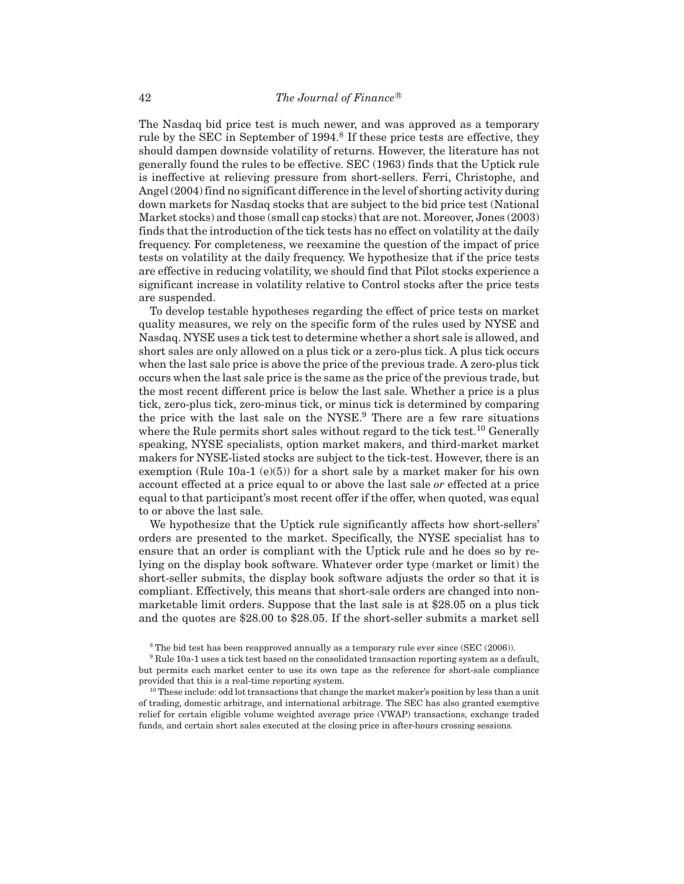The Nasdaq bid price test is much newer, and was approved as a temporary rule by the SEC in September of  $1994<sup>8</sup>$  If these price tests are effective, they should dampen downside volatility of returns. However, the literature has not generally found the rules to be effective. SEC (1963) finds that the Uptick rule is ineffective at relieving pressure from short-sellers. Ferri, Christophe, and Angel (2004) find no significant difference in the level of shorting activity during down markets for Nasdaq stocks that are subject to the bid price test (National Market stocks) and those (small cap stocks) that are not. Moreover, Jones (2003) finds that the introduction of the tick tests has no effect on volatility at the daily frequency. For completeness, we reexamine the question of the impact of price tests on volatility at the daily frequency. We hypothesize that if the price tests are effective in reducing volatility, we should find that Pilot stocks experience a significant increase in volatility relative to Control stocks after the price tests are suspended.

To develop testable hypotheses regarding the effect of price tests on market quality measures, we rely on the specific form of the rules used by NYSE and Nasdaq. NYSE uses a tick test to determine whether a short sale is allowed, and short sales are only allowed on a plus tick or a zero-plus tick. A plus tick occurs when the last sale price is above the price of the previous trade. A zero-plus tick occurs when the last sale price is the same as the price of the previous trade, but the most recent different price is below the last sale. Whether a price is a plus tick, zero-plus tick, zero-minus tick, or minus tick is determined by comparing the price with the last sale on the NYSE.<sup>9</sup> There are a few rare situations where the Rule permits short sales without regard to the tick test.<sup>10</sup> Generally speaking, NYSE specialists, option market makers, and third-market market makers for NYSE-listed stocks are subject to the tick-test. However, there is an exemption (Rule  $10a-1$  (e)(5)) for a short sale by a market maker for his own account effected at a price equal to or above the last sale *or* effected at a price equal to that participant's most recent offer if the offer, when quoted, was equal to or above the last sale.

We hypothesize that the Uptick rule significantly affects how short-sellers' orders are presented to the market. Specifically, the NYSE specialist has to ensure that an order is compliant with the Uptick rule and he does so by relying on the display book software. Whatever order type (market or limit) the short-seller submits, the display book software adjusts the order so that it is compliant. Effectively, this means that short-sale orders are changed into nonmarketable limit orders. Suppose that the last sale is at \$28.05 on a plus tick and the quotes are \$28.00 to \$28.05. If the short-seller submits a market sell

 $8$  The bid test has been reapproved annually as a temporary rule ever since (SEC (2006)).

<sup>&</sup>lt;sup>9</sup> Rule 10a-1 uses a tick test based on the consolidated transaction reporting system as a default, but permits each market center to use its own tape as the reference for short-sale compliance provided that this is a real-time reporting system.

 $10$  These include: odd lot transactions that change the market maker's position by less than a unit of trading, domestic arbitrage, and international arbitrage. The SEC has also granted exemptive relief for certain eligible volume weighted average price (VWAP) transactions, exchange traded funds, and certain short sales executed at the closing price in after-hours crossing sessions.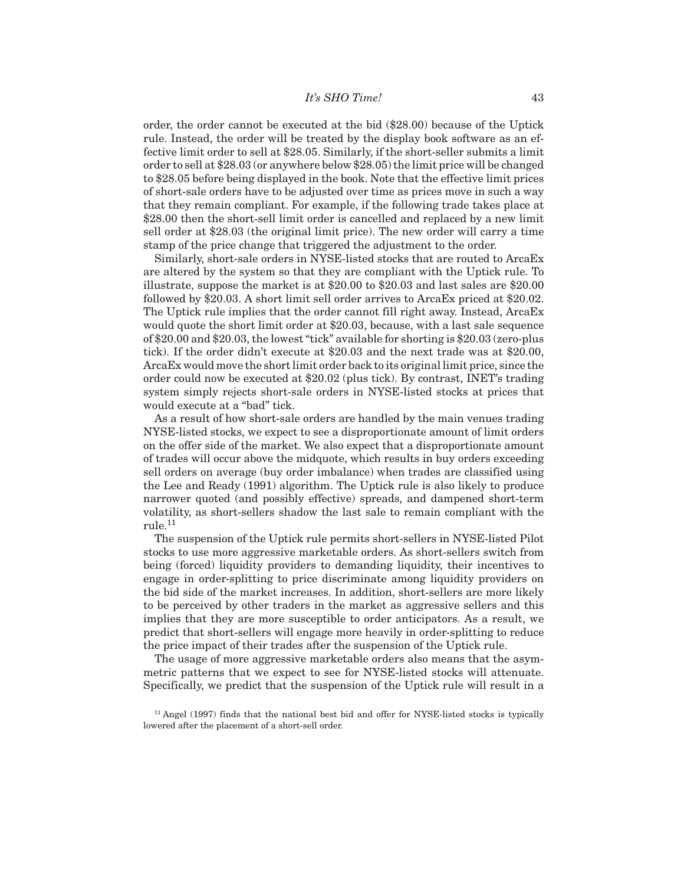# *It's SHO Time!* 43

order, the order cannot be executed at the bid (\$28.00) because of the Uptick rule. Instead, the order will be treated by the display book software as an effective limit order to sell at \$28.05. Similarly, if the short-seller submits a limit order to sell at \$28.03 (or anywhere below \$28.05) the limit price will be changed to \$28.05 before being displayed in the book. Note that the effective limit prices of short-sale orders have to be adjusted over time as prices move in such a way that they remain compliant. For example, if the following trade takes place at \$28.00 then the short-sell limit order is cancelled and replaced by a new limit sell order at \$28.03 (the original limit price). The new order will carry a time stamp of the price change that triggered the adjustment to the order.

Similarly, short-sale orders in NYSE-listed stocks that are routed to ArcaEx are altered by the system so that they are compliant with the Uptick rule. To illustrate, suppose the market is at \$20.00 to \$20.03 and last sales are \$20.00 followed by \$20.03. A short limit sell order arrives to ArcaEx priced at \$20.02. The Uptick rule implies that the order cannot fill right away. Instead, ArcaEx would quote the short limit order at \$20.03, because, with a last sale sequence of \$20.00 and \$20.03, the lowest "tick" available for shorting is \$20.03 (zero-plus tick). If the order didn't execute at \$20.03 and the next trade was at \$20.00, ArcaEx would move the short limit order back to its original limit price, since the order could now be executed at \$20.02 (plus tick). By contrast, INET's trading system simply rejects short-sale orders in NYSE-listed stocks at prices that would execute at a "bad" tick.

As a result of how short-sale orders are handled by the main venues trading NYSE-listed stocks, we expect to see a disproportionate amount of limit orders on the offer side of the market. We also expect that a disproportionate amount of trades will occur above the midquote, which results in buy orders exceeding sell orders on average (buy order imbalance) when trades are classified using the Lee and Ready (1991) algorithm. The Uptick rule is also likely to produce narrower quoted (and possibly effective) spreads, and dampened short-term volatility, as short-sellers shadow the last sale to remain compliant with the rule.<sup>11</sup>

The suspension of the Uptick rule permits short-sellers in NYSE-listed Pilot stocks to use more aggressive marketable orders. As short-sellers switch from being (forced) liquidity providers to demanding liquidity, their incentives to engage in order-splitting to price discriminate among liquidity providers on the bid side of the market increases. In addition, short-sellers are more likely to be perceived by other traders in the market as aggressive sellers and this implies that they are more susceptible to order anticipators. As a result, we predict that short-sellers will engage more heavily in order-splitting to reduce the price impact of their trades after the suspension of the Uptick rule.

The usage of more aggressive marketable orders also means that the asymmetric patterns that we expect to see for NYSE-listed stocks will attenuate. Specifically, we predict that the suspension of the Uptick rule will result in a

 $11$  Angel (1997) finds that the national best bid and offer for NYSE-listed stocks is typically lowered after the placement of a short-sell order.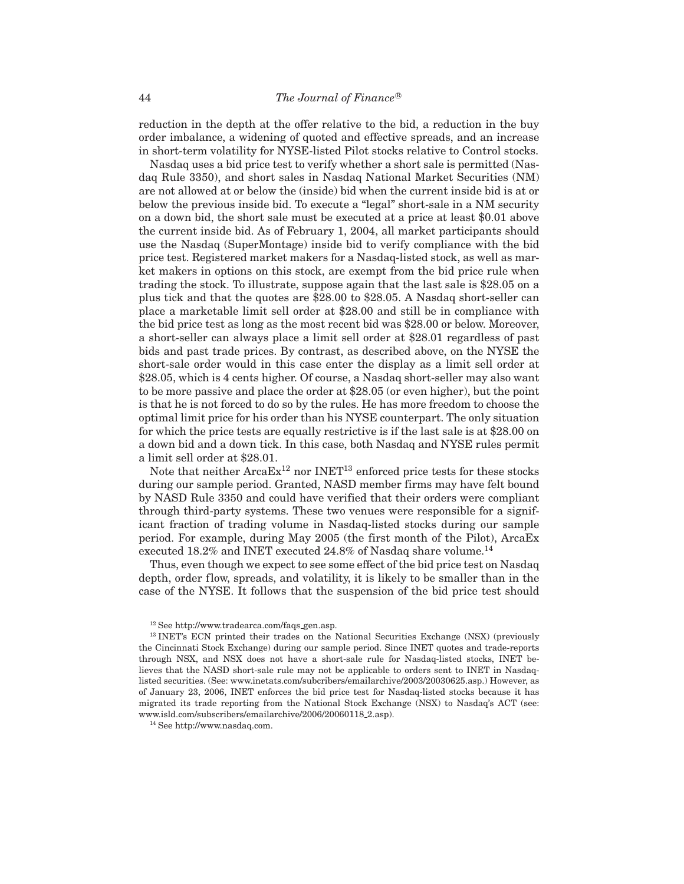reduction in the depth at the offer relative to the bid, a reduction in the buy order imbalance, a widening of quoted and effective spreads, and an increase in short-term volatility for NYSE-listed Pilot stocks relative to Control stocks.

Nasdaq uses a bid price test to verify whether a short sale is permitted (Nasdaq Rule 3350), and short sales in Nasdaq National Market Securities (NM) are not allowed at or below the (inside) bid when the current inside bid is at or below the previous inside bid. To execute a "legal" short-sale in a NM security on a down bid, the short sale must be executed at a price at least \$0.01 above the current inside bid. As of February 1, 2004, all market participants should use the Nasdaq (SuperMontage) inside bid to verify compliance with the bid price test. Registered market makers for a Nasdaq-listed stock, as well as market makers in options on this stock, are exempt from the bid price rule when trading the stock. To illustrate, suppose again that the last sale is \$28.05 on a plus tick and that the quotes are \$28.00 to \$28.05. A Nasdaq short-seller can place a marketable limit sell order at \$28.00 and still be in compliance with the bid price test as long as the most recent bid was \$28.00 or below. Moreover, a short-seller can always place a limit sell order at \$28.01 regardless of past bids and past trade prices. By contrast, as described above, on the NYSE the short-sale order would in this case enter the display as a limit sell order at \$28.05, which is 4 cents higher. Of course, a Nasdaq short-seller may also want to be more passive and place the order at \$28.05 (or even higher), but the point is that he is not forced to do so by the rules. He has more freedom to choose the optimal limit price for his order than his NYSE counterpart. The only situation for which the price tests are equally restrictive is if the last sale is at \$28.00 on a down bid and a down tick. In this case, both Nasdaq and NYSE rules permit a limit sell order at \$28.01.

Note that neither  $ArcaEx^{12}$  nor INET<sup>13</sup> enforced price tests for these stocks during our sample period. Granted, NASD member firms may have felt bound by NASD Rule 3350 and could have verified that their orders were compliant through third-party systems. These two venues were responsible for a significant fraction of trading volume in Nasdaq-listed stocks during our sample period. For example, during May 2005 (the first month of the Pilot), ArcaEx executed 18.2% and INET executed 24.8% of Nasdaq share volume.<sup>14</sup>

Thus, even though we expect to see some effect of the bid price test on Nasdaq depth, order flow, spreads, and volatility, it is likely to be smaller than in the case of the NYSE. It follows that the suspension of the bid price test should

<sup>14</sup> See http://www.nasdaq.com.

<sup>&</sup>lt;sup>12</sup> See http://www.tradearca.com/faqs\_gen.asp.

<sup>&</sup>lt;sup>13</sup> INET's ECN printed their trades on the National Securities Exchange (NSX) (previously the Cincinnati Stock Exchange) during our sample period. Since INET quotes and trade-reports through NSX, and NSX does not have a short-sale rule for Nasdaq-listed stocks, INET believes that the NASD short-sale rule may not be applicable to orders sent to INET in Nasdaqlisted securities. (See: www.inetats.com/subcribers/emailarchive/2003/20030625.asp.) However, as of January 23, 2006, INET enforces the bid price test for Nasdaq-listed stocks because it has migrated its trade reporting from the National Stock Exchange (NSX) to Nasdaq's ACT (see: www.isld.com/subscribers/emailarchive/2006/20060118 2.asp).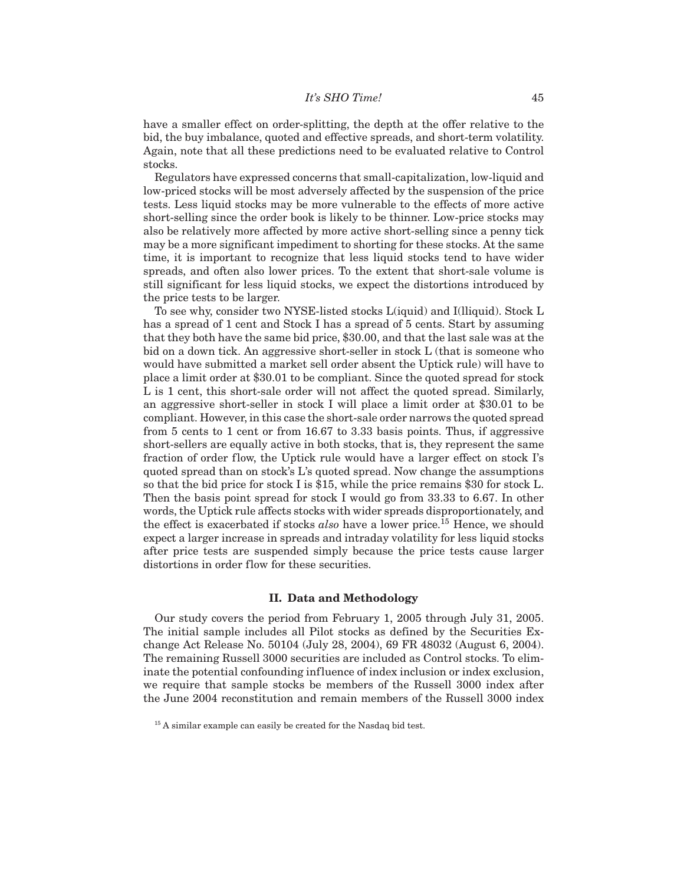# *It's SHO Time!* 45

have a smaller effect on order-splitting, the depth at the offer relative to the bid, the buy imbalance, quoted and effective spreads, and short-term volatility. Again, note that all these predictions need to be evaluated relative to Control stocks.

Regulators have expressed concerns that small-capitalization, low-liquid and low-priced stocks will be most adversely affected by the suspension of the price tests. Less liquid stocks may be more vulnerable to the effects of more active short-selling since the order book is likely to be thinner. Low-price stocks may also be relatively more affected by more active short-selling since a penny tick may be a more significant impediment to shorting for these stocks. At the same time, it is important to recognize that less liquid stocks tend to have wider spreads, and often also lower prices. To the extent that short-sale volume is still significant for less liquid stocks, we expect the distortions introduced by the price tests to be larger.

To see why, consider two NYSE-listed stocks L(iquid) and I(lliquid). Stock L has a spread of 1 cent and Stock I has a spread of 5 cents. Start by assuming that they both have the same bid price, \$30.00, and that the last sale was at the bid on a down tick. An aggressive short-seller in stock L (that is someone who would have submitted a market sell order absent the Uptick rule) will have to place a limit order at \$30.01 to be compliant. Since the quoted spread for stock L is 1 cent, this short-sale order will not affect the quoted spread. Similarly, an aggressive short-seller in stock I will place a limit order at \$30.01 to be compliant. However, in this case the short-sale order narrows the quoted spread from 5 cents to 1 cent or from 16.67 to 3.33 basis points. Thus, if aggressive short-sellers are equally active in both stocks, that is, they represent the same fraction of order flow, the Uptick rule would have a larger effect on stock I's quoted spread than on stock's L's quoted spread. Now change the assumptions so that the bid price for stock I is \$15, while the price remains \$30 for stock L. Then the basis point spread for stock I would go from 33.33 to 6.67. In other words, the Uptick rule affects stocks with wider spreads disproportionately, and the effect is exacerbated if stocks *also* have a lower price.<sup>15</sup> Hence, we should expect a larger increase in spreads and intraday volatility for less liquid stocks after price tests are suspended simply because the price tests cause larger distortions in order flow for these securities.

# **II. Data and Methodology**

Our study covers the period from February 1, 2005 through July 31, 2005. The initial sample includes all Pilot stocks as defined by the Securities Exchange Act Release No. 50104 (July 28, 2004), 69 FR 48032 (August 6, 2004). The remaining Russell 3000 securities are included as Control stocks. To eliminate the potential confounding influence of index inclusion or index exclusion, we require that sample stocks be members of the Russell 3000 index after the June 2004 reconstitution and remain members of the Russell 3000 index

 $15$  A similar example can easily be created for the Nasdaq bid test.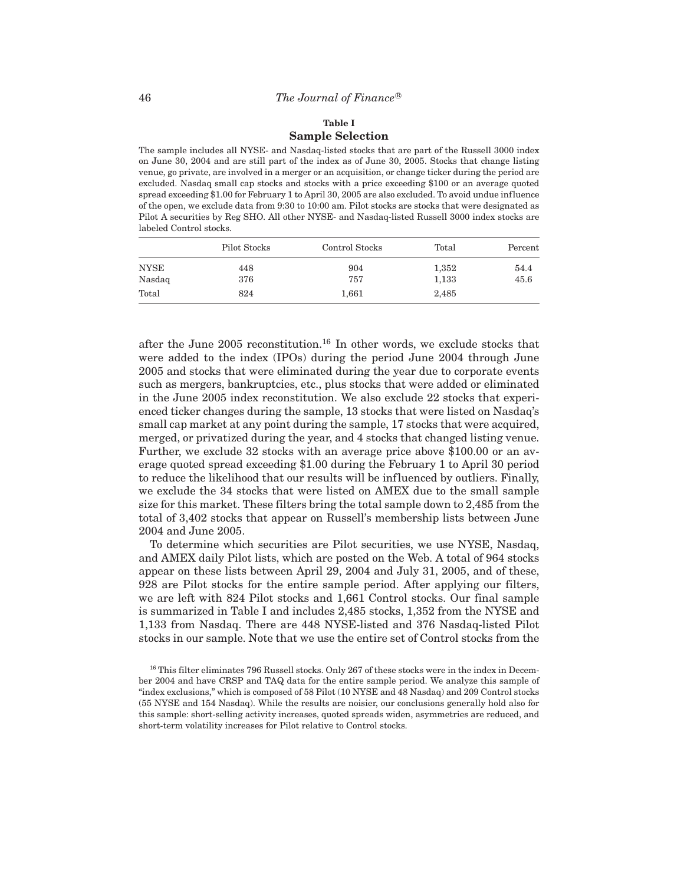# **Table I Sample Selection**

The sample includes all NYSE- and Nasdaq-listed stocks that are part of the Russell 3000 index on June 30, 2004 and are still part of the index as of June 30, 2005. Stocks that change listing venue, go private, are involved in a merger or an acquisition, or change ticker during the period are excluded. Nasdaq small cap stocks and stocks with a price exceeding \$100 or an average quoted spread exceeding \$1.00 for February 1 to April 30, 2005 are also excluded. To avoid undue inf luence of the open, we exclude data from 9:30 to 10:00 am. Pilot stocks are stocks that were designated as Pilot A securities by Reg SHO. All other NYSE- and Nasdaq-listed Russell 3000 index stocks are labeled Control stocks.

|             | Pilot Stocks | Control Stocks | Total | Percent |
|-------------|--------------|----------------|-------|---------|
| <b>NYSE</b> | 448          | 904            | 1,352 | 54.4    |
| Nasdaq      | 376          | 757            | 1,133 | 45.6    |
| Total       | 824          | 1,661          | 2,485 |         |

after the June 2005 reconstitution.<sup>16</sup> In other words, we exclude stocks that were added to the index (IPOs) during the period June 2004 through June 2005 and stocks that were eliminated during the year due to corporate events such as mergers, bankruptcies, etc., plus stocks that were added or eliminated in the June 2005 index reconstitution. We also exclude 22 stocks that experienced ticker changes during the sample, 13 stocks that were listed on Nasdaq's small cap market at any point during the sample, 17 stocks that were acquired, merged, or privatized during the year, and 4 stocks that changed listing venue. Further, we exclude 32 stocks with an average price above \$100.00 or an average quoted spread exceeding \$1.00 during the February 1 to April 30 period to reduce the likelihood that our results will be influenced by outliers. Finally, we exclude the 34 stocks that were listed on AMEX due to the small sample size for this market. These filters bring the total sample down to 2,485 from the total of 3,402 stocks that appear on Russell's membership lists between June 2004 and June 2005.

To determine which securities are Pilot securities, we use NYSE, Nasdaq, and AMEX daily Pilot lists, which are posted on the Web. A total of 964 stocks appear on these lists between April 29, 2004 and July 31, 2005, and of these, 928 are Pilot stocks for the entire sample period. After applying our filters, we are left with 824 Pilot stocks and 1,661 Control stocks. Our final sample is summarized in Table I and includes 2,485 stocks, 1,352 from the NYSE and 1,133 from Nasdaq. There are 448 NYSE-listed and 376 Nasdaq-listed Pilot stocks in our sample. Note that we use the entire set of Control stocks from the

<sup>&</sup>lt;sup>16</sup> This filter eliminates 796 Russell stocks. Only 267 of these stocks were in the index in December 2004 and have CRSP and TAQ data for the entire sample period. We analyze this sample of "index exclusions," which is composed of 58 Pilot (10 NYSE and 48 Nasdaq) and 209 Control stocks (55 NYSE and 154 Nasdaq). While the results are noisier, our conclusions generally hold also for this sample: short-selling activity increases, quoted spreads widen, asymmetries are reduced, and short-term volatility increases for Pilot relative to Control stocks.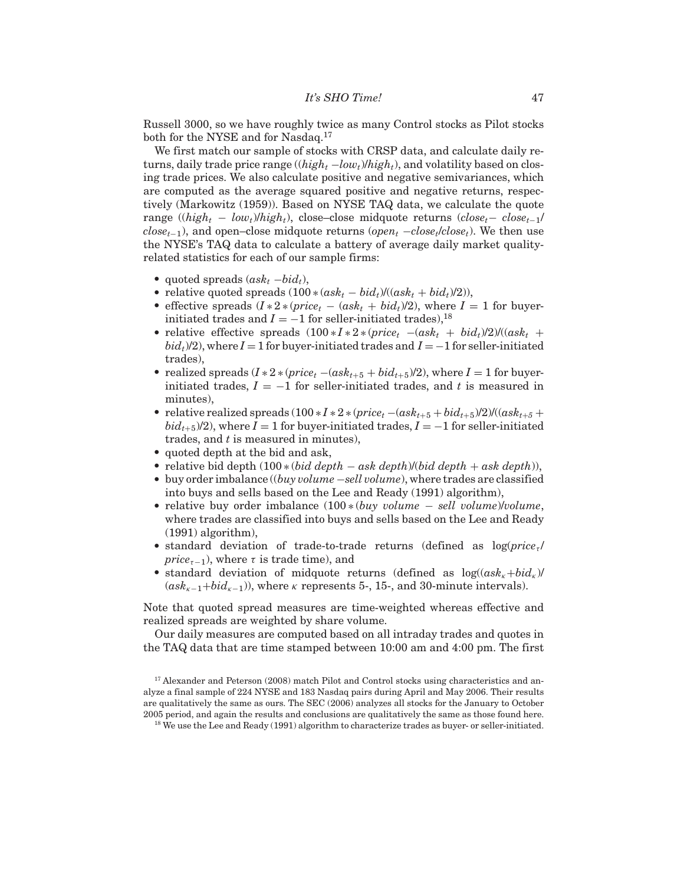Russell 3000, so we have roughly twice as many Control stocks as Pilot stocks both for the NYSE and for Nasdaq.<sup>17</sup>

We first match our sample of stocks with CRSP data, and calculate daily returns, daily trade price range  $((high<sub>t</sub> -low<sub>t</sub>)/high<sub>t</sub>)$ , and volatility based on closing trade prices. We also calculate positive and negative semivariances, which are computed as the average squared positive and negative returns, respectively (Markowitz (1959)). Based on NYSE TAQ data, we calculate the quote range  $((high<sub>t</sub> − low<sub>t</sub>)/high<sub>t</sub>),$  close–close midquote returns  $(close<sub>t</sub> − close<sub>t-1</sub>/$  $close_{t-1}$ ), and open–close midquote returns ( $open_t$  – $close_t$ /*close<sub>t</sub>*). We then use the NYSE's TAQ data to calculate a battery of average daily market qualityrelated statistics for each of our sample firms:

- quoted spreads  $(ask_t bid_t)$ ,
- relative quoted spreads  $(100*(ask_t bid_t)/(ask_t + bid_t)/2)$ ,
- relative quoted spreads  $(100 * (ask_t bid_t) / ((ask_t + bid_t) / 2))$ ,<br>
 effective spreads  $(I * 2 * (price_t (ask_t + bid_t) / 2))$ , where  $I = 1$  for buyerinitiated trades and  $I = -1$  for seller-initiated trades),<sup>18</sup>
- relative effective spreads  $(100 * I * 2 * (price_t (ask_t + bid_t)/2)/((ask_t +$  $bid<sub>t</sub>$  $/2$ , where *I* = 1 for buyer-initiated trades and *I* = −1 for seller-initiated trades),
- realized spreads  $(I * 2 * (price_t (ask_{t+5} + bid_{t+5})/2))$ , where  $I = 1$  for buyerinitiated trades,  $I = -1$  for seller-initiated trades, and t is measured in minutes),
- $\cdot$  relative realized spreads  $(100 * I * 2 * (price_t (ask_{t+5} + bid_{t+5})/2)/((ask_{t+5} + b^{2}))$  $bid_{t+5}$  $/2$ , where  $I = 1$  for buyer-initiated trades,  $I = -1$  for seller-initiated trades, and *t* is measured in minutes),
- quoted depth at the bid and ask,
- relative bid depth  $(100 * (bid depth ask depth)/(bid depth + ask depth)),$
- relative bid depth (100 <sup>∗</sup> (*bid depth* <sup>−</sup> *ask depth*)/(*bid depth* <sup>+</sup> *ask depth*)), buy order imbalance ((*buy volume* −*sell volume*), where trades are classified into buys and sells based on the Lee and Ready (1991) algorithm),
- relative buy order imbalance (100 ∗ (*buy volume* − *sell volume*)/*volume*, where trades are classified into buys and sells based on the Lee and Ready (1991) algorithm),
- standard deviation of trade-to-trade returns (defined as log(*price<sub>t</sub>*)
- *price*<sub>τ−1</sub>), where  $\tau$  is trade time), and  $\tau$  standard deviation of midquote returns (defined as log((*ask<sub>k</sub>*+*bid<sub>k</sub>*)/  $(ask_{K-1}+bid_{K-1})$ , where  $K$  represents 5-, 15-, and 30-minute intervals).

Note that quoted spread measures are time-weighted whereas effective and realized spreads are weighted by share volume.

Our daily measures are computed based on all intraday trades and quotes in the TAQ data that are time stamped between 10:00 am and 4:00 pm. The first

<sup>&</sup>lt;sup>17</sup> Alexander and Peterson (2008) match Pilot and Control stocks using characteristics and analyze a final sample of 224 NYSE and 183 Nasdaq pairs during April and May 2006. Their results are qualitatively the same as ours. The SEC (2006) analyzes all stocks for the January to October 2005 period, and again the results and conclusions are qualitatively the same as those found here.

 $18$  We use the Lee and Ready (1991) algorithm to characterize trades as buyer- or seller-initiated.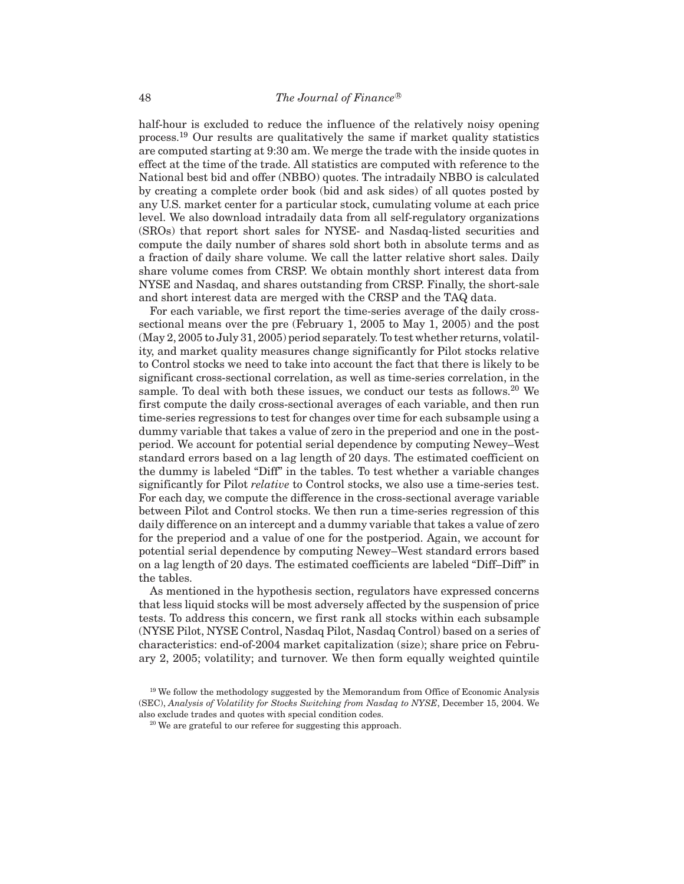half-hour is excluded to reduce the influence of the relatively noisy opening process.<sup>19</sup> Our results are qualitatively the same if market quality statistics are computed starting at 9:30 am. We merge the trade with the inside quotes in effect at the time of the trade. All statistics are computed with reference to the National best bid and offer (NBBO) quotes. The intradaily NBBO is calculated by creating a complete order book (bid and ask sides) of all quotes posted by any U.S. market center for a particular stock, cumulating volume at each price level. We also download intradaily data from all self-regulatory organizations (SROs) that report short sales for NYSE- and Nasdaq-listed securities and compute the daily number of shares sold short both in absolute terms and as a fraction of daily share volume. We call the latter relative short sales. Daily share volume comes from CRSP. We obtain monthly short interest data from NYSE and Nasdaq, and shares outstanding from CRSP. Finally, the short-sale and short interest data are merged with the CRSP and the TAQ data.

For each variable, we first report the time-series average of the daily crosssectional means over the pre (February 1, 2005 to May 1, 2005) and the post (May 2, 2005 to July 31, 2005) period separately. To test whether returns, volatility, and market quality measures change significantly for Pilot stocks relative to Control stocks we need to take into account the fact that there is likely to be significant cross-sectional correlation, as well as time-series correlation, in the sample. To deal with both these issues, we conduct our tests as follows.<sup>20</sup> We first compute the daily cross-sectional averages of each variable, and then run time-series regressions to test for changes over time for each subsample using a dummy variable that takes a value of zero in the preperiod and one in the postperiod. We account for potential serial dependence by computing Newey–West standard errors based on a lag length of 20 days. The estimated coefficient on the dummy is labeled "Diff" in the tables. To test whether a variable changes significantly for Pilot *relative* to Control stocks, we also use a time-series test. For each day, we compute the difference in the cross-sectional average variable between Pilot and Control stocks. We then run a time-series regression of this daily difference on an intercept and a dummy variable that takes a value of zero for the preperiod and a value of one for the postperiod. Again, we account for potential serial dependence by computing Newey–West standard errors based on a lag length of 20 days. The estimated coefficients are labeled "Diff–Diff" in the tables.

As mentioned in the hypothesis section, regulators have expressed concerns that less liquid stocks will be most adversely affected by the suspension of price tests. To address this concern, we first rank all stocks within each subsample (NYSE Pilot, NYSE Control, Nasdaq Pilot, Nasdaq Control) based on a series of characteristics: end-of-2004 market capitalization (size); share price on February 2, 2005; volatility; and turnover. We then form equally weighted quintile

<sup>19</sup> We follow the methodology suggested by the Memorandum from Office of Economic Analysis (SEC), *Analysis of Volatility for Stocks Switching from Nasdaq to NYSE*, December 15, 2004. We also exclude trades and quotes with special condition codes.

 $20$  We are grateful to our referee for suggesting this approach.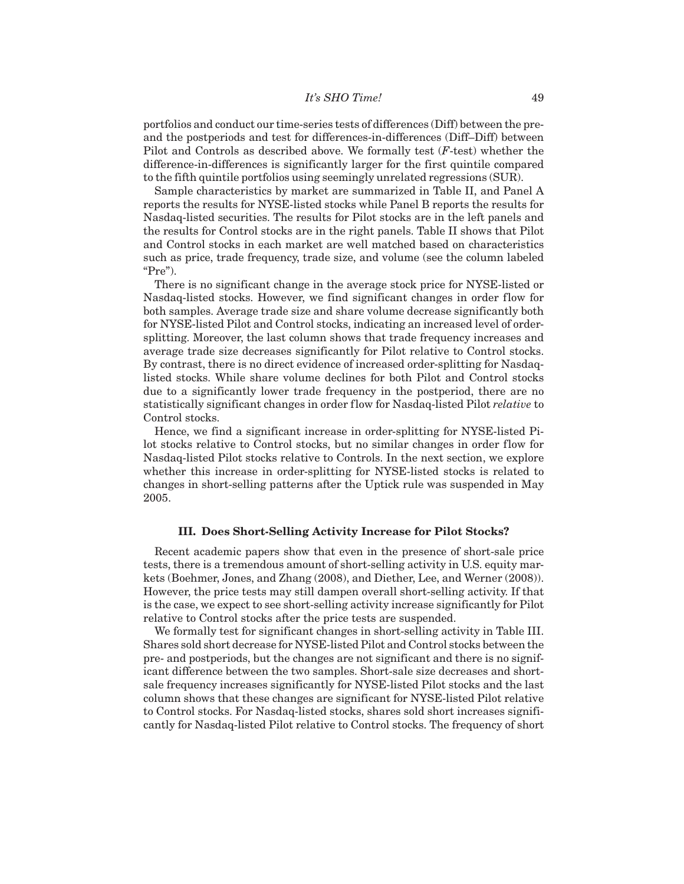# *It's SHO Time!* 49

portfolios and conduct our time-series tests of differences (Diff) between the preand the postperiods and test for differences-in-differences (Diff–Diff) between Pilot and Controls as described above. We formally test (*F*-test) whether the difference-in-differences is significantly larger for the first quintile compared to the fifth quintile portfolios using seemingly unrelated regressions (SUR).

Sample characteristics by market are summarized in Table II, and Panel A reports the results for NYSE-listed stocks while Panel B reports the results for Nasdaq-listed securities. The results for Pilot stocks are in the left panels and the results for Control stocks are in the right panels. Table II shows that Pilot and Control stocks in each market are well matched based on characteristics such as price, trade frequency, trade size, and volume (see the column labeled "Pre").

There is no significant change in the average stock price for NYSE-listed or Nasdaq-listed stocks. However, we find significant changes in order flow for both samples. Average trade size and share volume decrease significantly both for NYSE-listed Pilot and Control stocks, indicating an increased level of ordersplitting. Moreover, the last column shows that trade frequency increases and average trade size decreases significantly for Pilot relative to Control stocks. By contrast, there is no direct evidence of increased order-splitting for Nasdaqlisted stocks. While share volume declines for both Pilot and Control stocks due to a significantly lower trade frequency in the postperiod, there are no statistically significant changes in order f low for Nasdaq-listed Pilot *relative* to Control stocks.

Hence, we find a significant increase in order-splitting for NYSE-listed Pilot stocks relative to Control stocks, but no similar changes in order flow for Nasdaq-listed Pilot stocks relative to Controls. In the next section, we explore whether this increase in order-splitting for NYSE-listed stocks is related to changes in short-selling patterns after the Uptick rule was suspended in May 2005.

# **III. Does Short-Selling Activity Increase for Pilot Stocks?**

Recent academic papers show that even in the presence of short-sale price tests, there is a tremendous amount of short-selling activity in U.S. equity markets (Boehmer, Jones, and Zhang (2008), and Diether, Lee, and Werner (2008)). However, the price tests may still dampen overall short-selling activity. If that is the case, we expect to see short-selling activity increase significantly for Pilot relative to Control stocks after the price tests are suspended.

We formally test for significant changes in short-selling activity in Table III. Shares sold short decrease for NYSE-listed Pilot and Control stocks between the pre- and postperiods, but the changes are not significant and there is no significant difference between the two samples. Short-sale size decreases and shortsale frequency increases significantly for NYSE-listed Pilot stocks and the last column shows that these changes are significant for NYSE-listed Pilot relative to Control stocks. For Nasdaq-listed stocks, shares sold short increases significantly for Nasdaq-listed Pilot relative to Control stocks. The frequency of short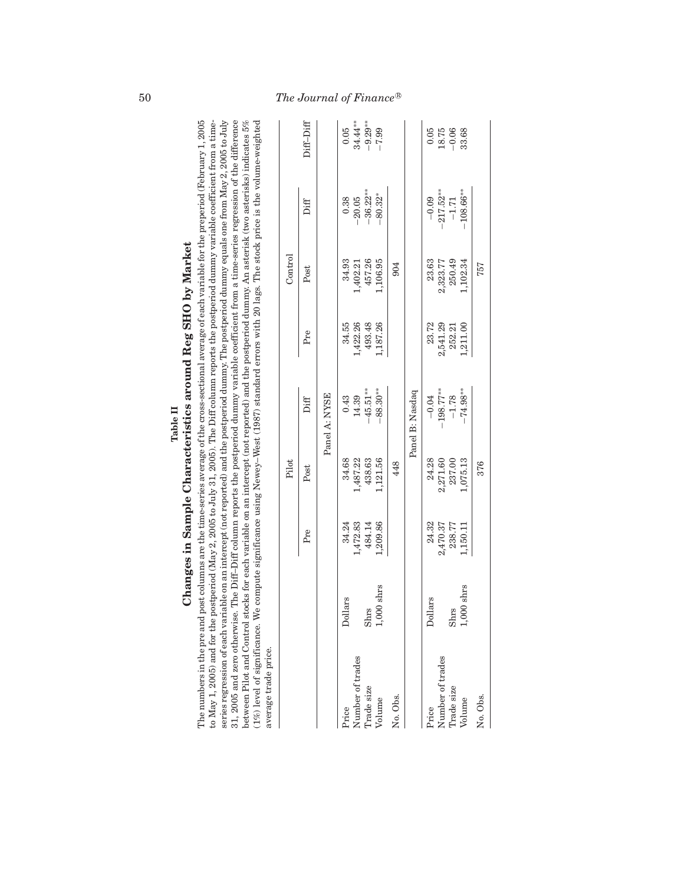| $(1\%)$ level of significance.<br>average trade price. |              |          |          |                 |          |          | We compute significance using Newey-West (1987) standard errors with 20 lags. The stock price is the volume-weighted |            |
|--------------------------------------------------------|--------------|----------|----------|-----------------|----------|----------|----------------------------------------------------------------------------------------------------------------------|------------|
|                                                        |              |          | Pilot    |                 |          | Control  |                                                                                                                      |            |
|                                                        |              | Pre      | Post     | Diff            | Pre      | Post     | Diff                                                                                                                 | Diff-Diff  |
|                                                        |              |          |          | Panel A: NYSE   |          |          |                                                                                                                      |            |
| Price                                                  | Dollars      | 34.24    | 34.68    | 0.43            | 34.55    | 34.93    | 0.38                                                                                                                 | 0.05       |
| Number of trades                                       |              | 1,472.83 | 1,487.22 | 14.39           | 1,422.26 | 1,402.21 | $-20.05$                                                                                                             | 34.44**    |
| Trade size                                             | Shrs         | 484.14   | 438.63   | $-45.51***$     | 493.48   | 457.26   | $-36.22***$                                                                                                          | $-9.29***$ |
| Volume                                                 | $1,000$ shrs | 1,209.86 | 1,121.56 | $-88.30**$      | 1,187.26 | 1,106.95 | $-80.32*$                                                                                                            | $-7.99$    |
| No. Obs.                                               |              |          | 448      |                 |          | 904      |                                                                                                                      |            |
|                                                        |              |          |          | Panel B: Nasdaq |          |          |                                                                                                                      |            |
| Price                                                  | Dollars      | 24.32    | 24.28    | $-0.04$         | 23.72    | 23.63    | $-0.09$                                                                                                              | 0.05       |
| Number of trades                                       |              | 2,470.37 | 2,271.60 | $-198.77***$    | 2,541.29 | 2,323.77 | $-217.52***$                                                                                                         | 18.75      |
| Trade size                                             | Shrs         | 238.77   | 237.00   | $-1.78$         | 252.21   | 250.49   | $-1.71$                                                                                                              | $-0.06$    |
| Volume                                                 | $1,000$ shrs | .150.11  | 1,075.13 | $-74.98***$     | 1,211.00 | 1,102.34 | $-108.66***$                                                                                                         | 33.68      |
| No. Obs.                                               |              |          | 376      |                 |          | 757      |                                                                                                                      |            |
|                                                        |              |          |          |                 |          |          |                                                                                                                      |            |

Changes in Sample Characteristics around Reg SHO by Market **Changes in Sample Characteristics around Reg SHO by Market Table II**

31, 2005 and zero otherwise. The Diff-Diff column reports the postperiod dummy variable coefficient from a time-series regression of the difference<br>between Pilot and Control stocks for each variable on an intercept (not r The numbers in the pre and post columns are the time-series average of the cross-sectional average of each variable for the preperiod (February 1, 2005 to May 1, 2005) and for the postperiod (May 2, 2005 to July 31, 2005). The Diff column reports the postperiod dummy variable coefficient from a timeseries regression of each variable on an intercept (not reported) and the postperiod dummy. The postperiod dummy equals one from May 2, 2005 to July The numbers in the pre and post columns are the time-series average of the cross-sectional average of each variable for the preperiod (February 1, 2005 to May 1, 2005) and for the postperiod (May 2, 2005 to July 31, 2005). The Diff column reports the postperiod dummy variable coefficient from a timeseries regression of each variable on an intercept (not reported) and the postperiod dummy. The postperiod dummy equals one from May 2, 2005 to July 31, 2005 and zero otherwise. The Diff–Diff column reports the postperiod dummy variable coefficient from a time-series regression of the difference

between Pilot and Control stocks for each variable on an intercept (not reported) and the postperiod dummy. An asterisk (two asterisks) indicates 5%

# 50 *The Journal of Finance* R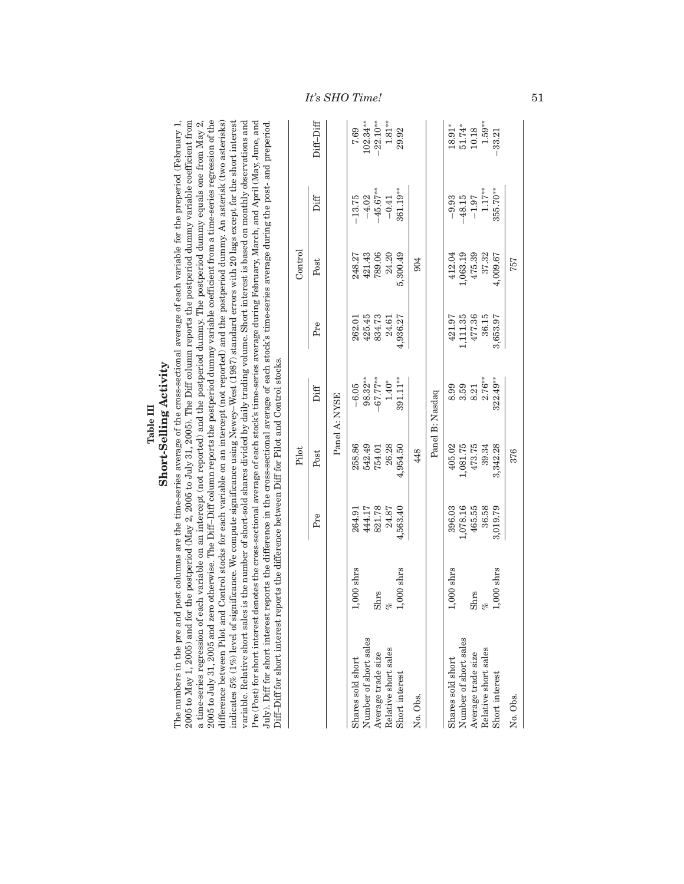| İ<br>Table | Short-Selling Activity | $\ddot{\cdot}$ |
|------------|------------------------|----------------|
|            |                        |                |

The numbers in the pre and post columns are the time-series average of the cross-sectional average of each variable for the preperiod (February 1,  $2005$  to May 1, 2005) and for the postperiod (May 2, 2005 to July 31, 2005). The Diff column reports the postperiod dummy variable coefficient from a time-series regression of each variable on an intercept (not reported) and the postperiod dummy. The postperiod dummy equals one from May 2,<br>2005 to July 31, 2005 and zero otherwise. The Diff-Diff column reports the pos 2005 to May 1, 2005) and for the postperiod (May 2, 2005 to July 31, 2005). The Diff column reports the postperiod dummy variable coefficient from 2005 to July 31, 2005 and zero otherwise. The Diff–Diff column reports the postperiod dummy variable coefficient from a time-series regression of the difference between Pilot and Control stocks for each variable on an intercept (not reported) and the postperiod dummy. An asterisk (two asterisks) difference between Pilot and Control stocks for each variable on an intercept (not reported) and the postperiod dummy. An asterisk (two asterisks) indicates 5% (1%) level of significance. We compute significance using Newey–West (1987) standard errors with 20 lags except for the short interest indicates 5% (1%) level of significance. We compute significance using Newey–West (1987) standard errors with 20 lags except for the short interest variable. Relative short sales is the number of short-sold shares divided by daily trading volume. Short interest is based on monthly observations and variable. Relative short sales is the number of short-sold shares divided by daily trading volume. Short interest is based on monthly observations and Pre (Post) for short interest denotes the cross-sectional average of each stock's time-series average during Pebruary, March, and April (May, June, and Pre (Post) for short interest denotes the cross-sectional average of each stock's time-series average during February, March, and April (May, June, and The numbers in the pre and post columns are the time-series average of the cross-sectional average of each variable for the preperiod (February 1, a time-series regression of each variable on an intercept (not reported) and the postperiod dummy. The postperiod dummy equals one from May 2, July). Diff for short interest reports the difference in the cross-sectional average of each stock's time-series average during the post- and preperiod. July). Diff for short interest reports the difference in the cross-sectional average of each stock's time-series average during the post- and preperiod. Diff-Diff for short interest reports the difference between Diff for Pilot and Control stocks. Diff–Diff for short interest reports the difference between Diff for Pilot and Control stocks.

|                       |                     |                         | Pilot            |                                                                       |                  | Control                           |                                            |                                                                                 |
|-----------------------|---------------------|-------------------------|------------------|-----------------------------------------------------------------------|------------------|-----------------------------------|--------------------------------------------|---------------------------------------------------------------------------------|
|                       |                     | Pre                     | Post             | $\mathrm{Diff}$                                                       | Pre              | Post                              | Diff                                       | Diff-Diff                                                                       |
|                       |                     |                         |                  | Panel A: NYSE                                                         |                  |                                   |                                            |                                                                                 |
| Shares sold short     | $1,000$ shrs        | 264.91                  | 258.86           |                                                                       | 262.01           | 248.27                            | $-13.75$                                   | 7.69                                                                            |
| Number of short sales |                     |                         |                  |                                                                       |                  |                                   |                                            |                                                                                 |
| Average trade size    |                     | $\frac{444.17}{821.78}$ | 542.49<br>754.01 | $\begin{array}{r} -6.05 \\ -63.22** \\ -67.77** \\ 1.40* \end{array}$ | 425.45<br>834.73 | $\frac{421.43}{789.06}$           | $-4.02$<br>$-45.67***$<br>$-0.41$          | $\begin{array}{r} 102.34^{**} \\ -22.10^{**} \\ 1.81^{**} \\ 29.92 \end{array}$ |
| Relative short sales  | $\frac{S\ln s}{\%}$ | 24.87                   | 26.28            |                                                                       | 24.61            |                                   |                                            |                                                                                 |
| Short interest        | $1,000$ shrs        | .563.40                 | 4,954.50         | $391.11**$                                                            | 1,936.27         | 5,300.49                          | 361.19**                                   |                                                                                 |
| No. Obs.              |                     |                         | 448              |                                                                       |                  | 904                               |                                            |                                                                                 |
|                       |                     |                         |                  | Panel B: Nasdaq                                                       |                  |                                   |                                            |                                                                                 |
| Shares sold short     | $1,000$ shrs        | 396.03                  | 405.02           |                                                                       | 421.97           | 412.04                            |                                            |                                                                                 |
| Number of short sales |                     |                         | 1,081.75         |                                                                       |                  |                                   |                                            |                                                                                 |
| Average trade size    | Shrs                | 1,078.16<br>465.55      | 473.75           | 99<br>99<br>99 21<br>90 21<br>90 21                                   | 1,111.35         | $1,063.19$<br>$475.39$<br>$37.32$ | $-9.93$<br>$-48.15$<br>$-1.97$<br>$1.17**$ | $\begin{array}{c} 18.91^* \\ 51.74^* \\ 10.18 \\ 1.59^{**} \end{array}$         |
| Relative short sales  | olo                 | 36.58                   | 39.34            |                                                                       | 36.15            |                                   |                                            |                                                                                 |
| Short interest        | $1,000$ shrs        | 3,019.79                | 3,342.28         | $822.49***$                                                           | ,653.97          | 79.600,                           | 355.70**                                   | 33.21                                                                           |
| No. Obs.              |                     |                         | 376              |                                                                       |                  | 757                               |                                            |                                                                                 |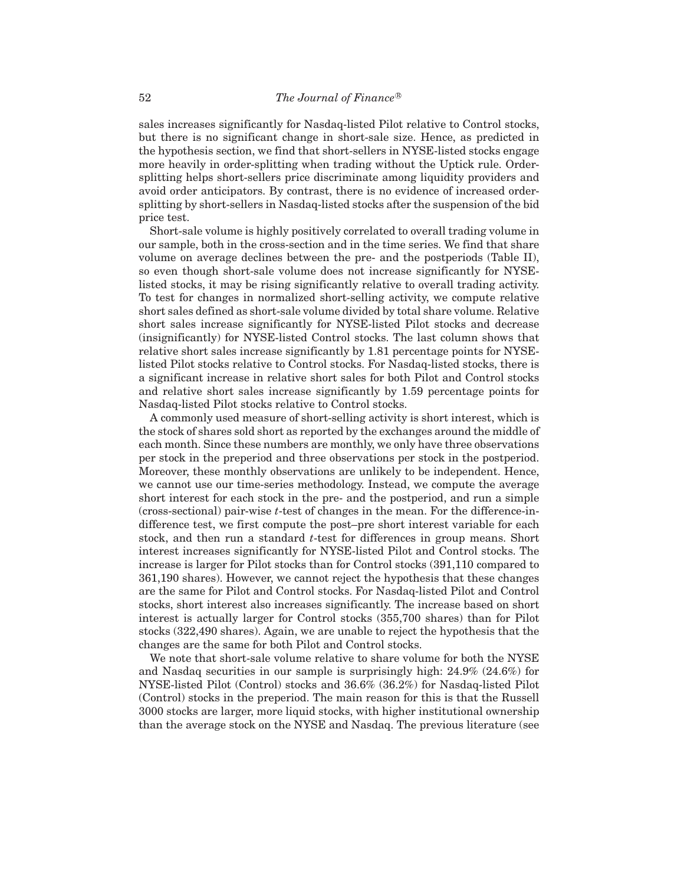sales increases significantly for Nasdaq-listed Pilot relative to Control stocks, but there is no significant change in short-sale size. Hence, as predicted in the hypothesis section, we find that short-sellers in NYSE-listed stocks engage more heavily in order-splitting when trading without the Uptick rule. Ordersplitting helps short-sellers price discriminate among liquidity providers and avoid order anticipators. By contrast, there is no evidence of increased ordersplitting by short-sellers in Nasdaq-listed stocks after the suspension of the bid price test.

Short-sale volume is highly positively correlated to overall trading volume in our sample, both in the cross-section and in the time series. We find that share volume on average declines between the pre- and the postperiods (Table II), so even though short-sale volume does not increase significantly for NYSElisted stocks, it may be rising significantly relative to overall trading activity. To test for changes in normalized short-selling activity, we compute relative short sales defined as short-sale volume divided by total share volume. Relative short sales increase significantly for NYSE-listed Pilot stocks and decrease (insignificantly) for NYSE-listed Control stocks. The last column shows that relative short sales increase significantly by 1.81 percentage points for NYSElisted Pilot stocks relative to Control stocks. For Nasdaq-listed stocks, there is a significant increase in relative short sales for both Pilot and Control stocks and relative short sales increase significantly by 1.59 percentage points for Nasdaq-listed Pilot stocks relative to Control stocks.

A commonly used measure of short-selling activity is short interest, which is the stock of shares sold short as reported by the exchanges around the middle of each month. Since these numbers are monthly, we only have three observations per stock in the preperiod and three observations per stock in the postperiod. Moreover, these monthly observations are unlikely to be independent. Hence, we cannot use our time-series methodology. Instead, we compute the average short interest for each stock in the pre- and the postperiod, and run a simple (cross-sectional) pair-wise *t*-test of changes in the mean. For the difference-indifference test, we first compute the post–pre short interest variable for each stock, and then run a standard *t*-test for differences in group means. Short interest increases significantly for NYSE-listed Pilot and Control stocks. The increase is larger for Pilot stocks than for Control stocks (391,110 compared to 361,190 shares). However, we cannot reject the hypothesis that these changes are the same for Pilot and Control stocks. For Nasdaq-listed Pilot and Control stocks, short interest also increases significantly. The increase based on short interest is actually larger for Control stocks (355,700 shares) than for Pilot stocks (322,490 shares). Again, we are unable to reject the hypothesis that the changes are the same for both Pilot and Control stocks.

We note that short-sale volume relative to share volume for both the NYSE and Nasdaq securities in our sample is surprisingly high: 24.9% (24.6%) for NYSE-listed Pilot (Control) stocks and 36.6% (36.2%) for Nasdaq-listed Pilot (Control) stocks in the preperiod. The main reason for this is that the Russell 3000 stocks are larger, more liquid stocks, with higher institutional ownership than the average stock on the NYSE and Nasdaq. The previous literature (see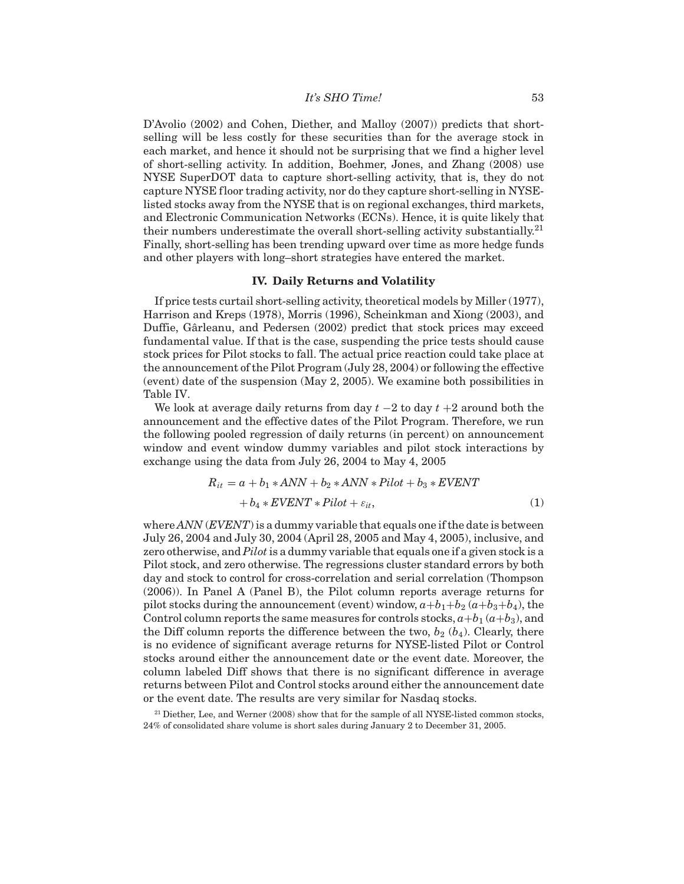D'Avolio (2002) and Cohen, Diether, and Malloy (2007)) predicts that shortselling will be less costly for these securities than for the average stock in each market, and hence it should not be surprising that we find a higher level of short-selling activity. In addition, Boehmer, Jones, and Zhang (2008) use NYSE SuperDOT data to capture short-selling activity, that is, they do not capture NYSE f loor trading activity, nor do they capture short-selling in NYSElisted stocks away from the NYSE that is on regional exchanges, third markets, and Electronic Communication Networks (ECNs). Hence, it is quite likely that their numbers underestimate the overall short-selling activity substantially.<sup>21</sup> Finally, short-selling has been trending upward over time as more hedge funds and other players with long–short strategies have entered the market.

#### **IV. Daily Returns and Volatility**

If price tests curtail short-selling activity, theoretical models by Miller (1977), Harrison and Kreps (1978), Morris (1996), Scheinkman and Xiong (2003), and Duffie, Gârleanu, and Pedersen (2002) predict that stock prices may exceed fundamental value. If that is the case, suspending the price tests should cause stock prices for Pilot stocks to fall. The actual price reaction could take place at the announcement of the Pilot Program (July 28, 2004) or following the effective (event) date of the suspension (May 2, 2005). We examine both possibilities in Table IV.

We look at average daily returns from day *t* −2 to day *t* +2 around both the announcement and the effective dates of the Pilot Program. Therefore, we run the following pooled regression of daily returns (in percent) on announcement window and event window dummy variables and pilot stock interactions by exchange using the data from July 26, 2004 to May 4, 2005

$$
R_{it} = a + b_1 * ANN + b_2 * ANN * Pilot + b_3 * EVENT
$$
  
+ 
$$
b_4 * EVENT * Pilot + \varepsilon_{it},
$$
 (1)

where *ANN* (*EVENT*) is a dummy variable that equals one if the date is between July 26, 2004 and July 30, 2004 (April 28, 2005 and May 4, 2005), inclusive, and zero otherwise, and *Pilot*is a dummy variable that equals one if a given stock is a Pilot stock, and zero otherwise. The regressions cluster standard errors by both day and stock to control for cross-correlation and serial correlation (Thompson (2006)). In Panel A (Panel B), the Pilot column reports average returns for pilot stocks during the announcement (event) window,  $a+b_1+b_2$   $(a+b_3+b_4)$ , the Control column reports the same measures for controls stocks,  $a+b_1(a+b_3)$ , and the Diff column reports the difference between the two,  $b_2$  ( $b_4$ ). Clearly, there is no evidence of significant average returns for NYSE-listed Pilot or Control stocks around either the announcement date or the event date. Moreover, the column labeled Diff shows that there is no significant difference in average returns between Pilot and Control stocks around either the announcement date or the event date. The results are very similar for Nasdaq stocks.

 $^{21}$  Diether, Lee, and Werner (2008) show that for the sample of all NYSE-listed common stocks, 24% of consolidated share volume is short sales during January 2 to December 31, 2005.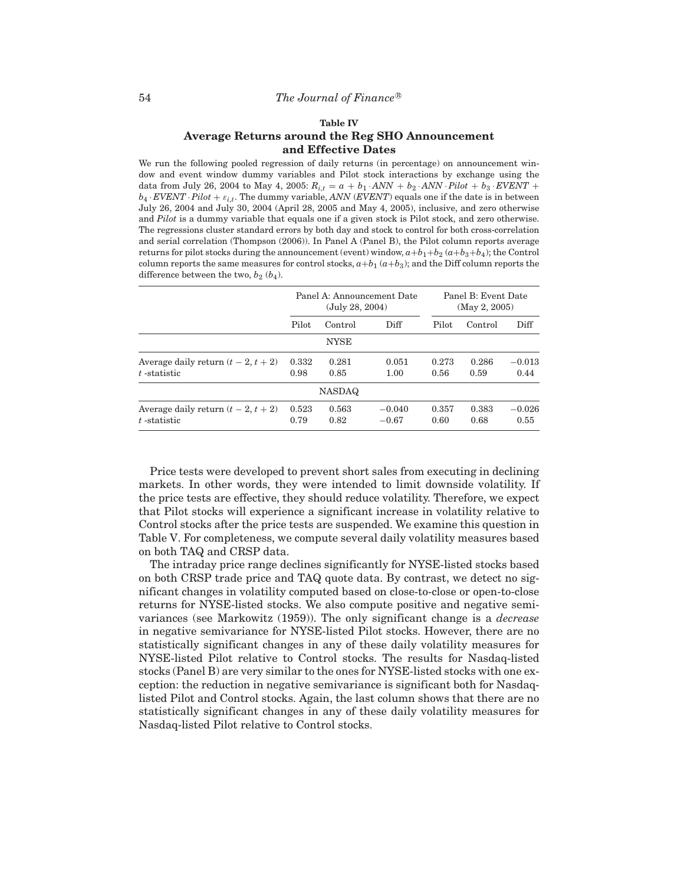# **Table IV Average Returns around the Reg SHO Announcement and Effective Dates**

We run the following pooled regression of daily returns (in percentage) on announcement window and event window dummy variables and Pilot stock interactions by exchange using the data from July 26, 2004 to May 4, 2005:  $R_{i,t} = a + b_1 \cdot ANN + b_2 \cdot ANN \cdot Pilot + b_3 \cdot EVENT +$  $b_4 \cdot \text{EVENT} \cdot \text{Pilot} + \varepsilon_{i,t}$ . The dummy variable, *ANN* (*EVENT*) equals one if the date is in between July 26, 2004 and July 30, 2004 (April 28, 2005 and May 4, 2005), inclusive, and zero otherwise and *Pilot* is a dummy variable that equals one if a given stock is Pilot stock, and zero otherwise. The regressions cluster standard errors by both day and stock to control for both cross-correlation and serial correlation (Thompson (2006)). In Panel A (Panel B), the Pilot column reports average returns for pilot stocks during the announcement (event) window,  $a+b_1+b_2$  ( $a+b_3+b_4$ ); the Control column reports the same measures for control stocks,  $a+b_1 (a+b_3)$ ; and the Diff column reports the difference between the two,  $b_2$  ( $b_4$ ).

|                                                     |               | (July 28, 2004) | Panel A: Announcement Date |               | Panel B: Event Date<br>(May 2, 2005) |                  |
|-----------------------------------------------------|---------------|-----------------|----------------------------|---------------|--------------------------------------|------------------|
|                                                     | Pilot         | Control         | Diff                       | Pilot         | Control                              | Diff             |
|                                                     |               | <b>NYSE</b>     |                            |               |                                      |                  |
| Average daily return $(t-2, t+2)$<br>$t$ -statistic | 0.332<br>0.98 | 0.281<br>0.85   | 0.051<br>1.00              | 0.273<br>0.56 | 0.286<br>0.59                        | $-0.013$<br>0.44 |
|                                                     |               | <b>NASDAQ</b>   |                            |               |                                      |                  |
| Average daily return $(t-2, t+2)$<br>$t$ -statistic | 0.523<br>0.79 | 0.563<br>0.82   | $-0.040$<br>$-0.67$        | 0.357<br>0.60 | 0.383<br>0.68                        | $-0.026$<br>0.55 |

Price tests were developed to prevent short sales from executing in declining markets. In other words, they were intended to limit downside volatility. If the price tests are effective, they should reduce volatility. Therefore, we expect that Pilot stocks will experience a significant increase in volatility relative to Control stocks after the price tests are suspended. We examine this question in Table V. For completeness, we compute several daily volatility measures based on both TAQ and CRSP data.

The intraday price range declines significantly for NYSE-listed stocks based on both CRSP trade price and TAQ quote data. By contrast, we detect no significant changes in volatility computed based on close-to-close or open-to-close returns for NYSE-listed stocks. We also compute positive and negative semivariances (see Markowitz (1959)). The only significant change is a *decrease* in negative semivariance for NYSE-listed Pilot stocks. However, there are no statistically significant changes in any of these daily volatility measures for NYSE-listed Pilot relative to Control stocks. The results for Nasdaq-listed stocks (Panel B) are very similar to the ones for NYSE-listed stocks with one exception: the reduction in negative semivariance is significant both for Nasdaqlisted Pilot and Control stocks. Again, the last column shows that there are no statistically significant changes in any of these daily volatility measures for Nasdaq-listed Pilot relative to Control stocks.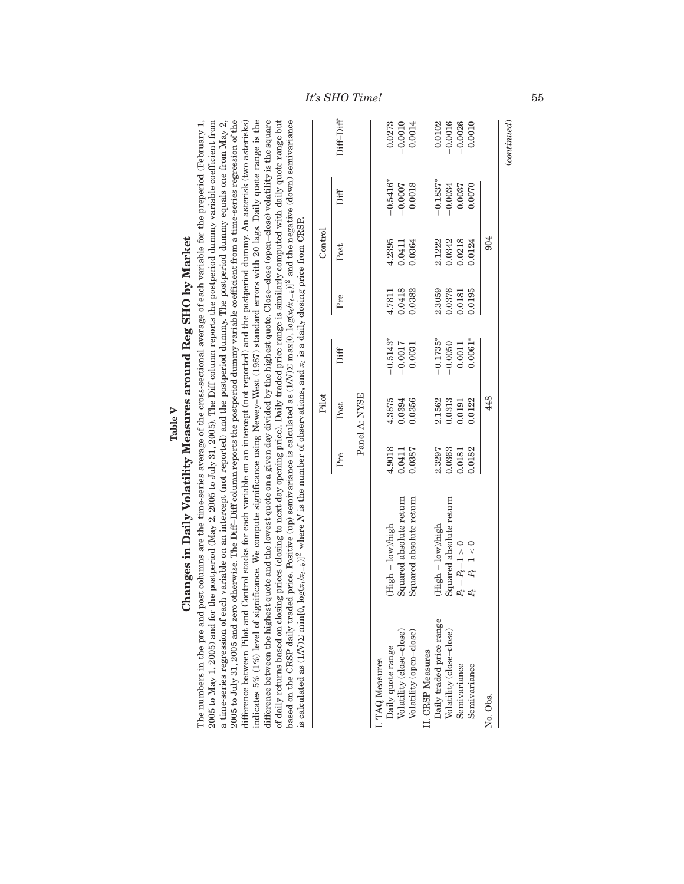|           |            | 904     |        |            | 448           |        |                                                                                                                                                                                                                                                                                                                                                                                                                                                                                                                                                                                                                                                                                                                                                                                                                                                                                                                                                                                                                                                                                                                                                                                                                                           | No. Obs.                                                  |
|-----------|------------|---------|--------|------------|---------------|--------|-------------------------------------------------------------------------------------------------------------------------------------------------------------------------------------------------------------------------------------------------------------------------------------------------------------------------------------------------------------------------------------------------------------------------------------------------------------------------------------------------------------------------------------------------------------------------------------------------------------------------------------------------------------------------------------------------------------------------------------------------------------------------------------------------------------------------------------------------------------------------------------------------------------------------------------------------------------------------------------------------------------------------------------------------------------------------------------------------------------------------------------------------------------------------------------------------------------------------------------------|-----------------------------------------------------------|
| 0.0010    | $-0.0070$  | 0.0124  | 0.0195 | $-0.0061*$ | 0.0122        | 0.0182 |                                                                                                                                                                                                                                                                                                                                                                                                                                                                                                                                                                                                                                                                                                                                                                                                                                                                                                                                                                                                                                                                                                                                                                                                                                           | Semivariance                                              |
| $-0.0026$ | 0.0037     | 0.0218  | 0.0181 | 0.0011     | 0.0191        | 0.0181 | $P_t - P_{t-1} > 0$<br>$P_t - P_{t-1} < 0$                                                                                                                                                                                                                                                                                                                                                                                                                                                                                                                                                                                                                                                                                                                                                                                                                                                                                                                                                                                                                                                                                                                                                                                                | Semivariance                                              |
| $-0.0016$ | $-0.0034$  | 0.0342  | 0.0376 | $-0.0050$  | 0.0313        | 0.0363 | Squared absolute return                                                                                                                                                                                                                                                                                                                                                                                                                                                                                                                                                                                                                                                                                                                                                                                                                                                                                                                                                                                                                                                                                                                                                                                                                   | Volatility (close-close)                                  |
| 0.0102    | $-0.1837*$ | 2.1222  | 2.3059 | $-0.1735*$ | 2.1562        | 2.3297 | $(High - low) / high$                                                                                                                                                                                                                                                                                                                                                                                                                                                                                                                                                                                                                                                                                                                                                                                                                                                                                                                                                                                                                                                                                                                                                                                                                     | Daily traded price range<br>II. CRSP Measures             |
| $-0.0014$ | $-0.0018$  | 0.0364  | 0.0382 | $-0.0031$  | 0.0356        | 0.0387 | Squared absolute return                                                                                                                                                                                                                                                                                                                                                                                                                                                                                                                                                                                                                                                                                                                                                                                                                                                                                                                                                                                                                                                                                                                                                                                                                   | Volatility (open-close)                                   |
| $-0.0010$ | $-0.0007$  | 0.0411  | 0.0418 | $-0.0017$  | 0.0394        | 0.0411 | Squared absolute return                                                                                                                                                                                                                                                                                                                                                                                                                                                                                                                                                                                                                                                                                                                                                                                                                                                                                                                                                                                                                                                                                                                                                                                                                   | Volatility (close-close)                                  |
| 0.0273    | $-0.5416*$ | 4.2395  | 4.7811 | $-0.5143*$ | 4.3875        | 4.9018 | $(High - low)$ high                                                                                                                                                                                                                                                                                                                                                                                                                                                                                                                                                                                                                                                                                                                                                                                                                                                                                                                                                                                                                                                                                                                                                                                                                       | Daily quote range<br>I. TAQ Measures                      |
|           |            |         |        |            | Panel A: NYSE |        |                                                                                                                                                                                                                                                                                                                                                                                                                                                                                                                                                                                                                                                                                                                                                                                                                                                                                                                                                                                                                                                                                                                                                                                                                                           |                                                           |
| Diff-Diff | Diff       | Post    | Pre    | Diff       | Post          | Pre    |                                                                                                                                                                                                                                                                                                                                                                                                                                                                                                                                                                                                                                                                                                                                                                                                                                                                                                                                                                                                                                                                                                                                                                                                                                           |                                                           |
|           |            | Control |        |            | Pilot         |        |                                                                                                                                                                                                                                                                                                                                                                                                                                                                                                                                                                                                                                                                                                                                                                                                                                                                                                                                                                                                                                                                                                                                                                                                                                           |                                                           |
|           |            |         |        |            |               |        | 2005 to July 31, 2005 and zero otherwise. The Diff-Diff column reports the postperiod dummy variable coefficient from a time-series regression of the<br>significance. We compute significance using Newey-West (1987) standard errors with 20 lags. Daily quote range is the<br>of daily returns based on closing prices (closing to next day opening price). Daily traded price range is similarly computed with daily quote range but<br>based on the CRSP daily traded price. Positive (up) semivariance is calculated as $(1/N) \Sigma$ max $[0, \log(\kappa_l / \kappa_{l-k})]^2$ and the negative (down) semivariance<br>difference between the highest quote and the lowest quote on a given day divided by the highest quote. Close–close (open–close) volatility is the square<br>each variable on an intercept (not reported) and the postperiod dummy. The postperiod dummy equals one from May 2,<br>difference between Pilot and Control stocks for each variable on an intercept (not reported) and the postperiod dummy. An asterisk (two asterisks)<br>is calculated as $(1/N)$ $\S$ min[0, $\log(x/\lambda_{t- k})$ ] <sup>2</sup> where N is the number of observations, and $x_t$ is a daily closing price from CRSP. | a time-series regression of<br>indicates 5% (1%) level of |

**Table V**

# Changes in Daily Volatility Measures around Reg SHO by Market **Changes in Daily Volatility Measures around Reg SHO by Market**

The numbers in the pre and post columns are the time-series average of the cross-sectional average of each variable for the preperiod (February 1, 2005 to May 1, 2005) and for the postperiod (May 2, 2005 to July 31, 2005). The Diff column reports the postperiod dummy variable coefficient from a time-series regression of each variable on an intercept (not reported) and the postperiod dummy. The postperiod dummy equals one from May 2, 2005 to July 31, 2005 and zero otherwise. The Diff–Diff column reports the postperiod dummy variable coefficient from a time-series regression of the

2005 to May 1, 2005) and for the postperiod (May 2, 2005 to July 31, 2005). The Diff column reports the postperiod dummy variable coefficient from

The numbers in the pre and post columns are the time-series average of the cross-sectional average of each variable for the preperiod (February 1,

*It's SHO Time!* 55

(*continued*)

 $_{(continued)}% \label{eq:optimal}%$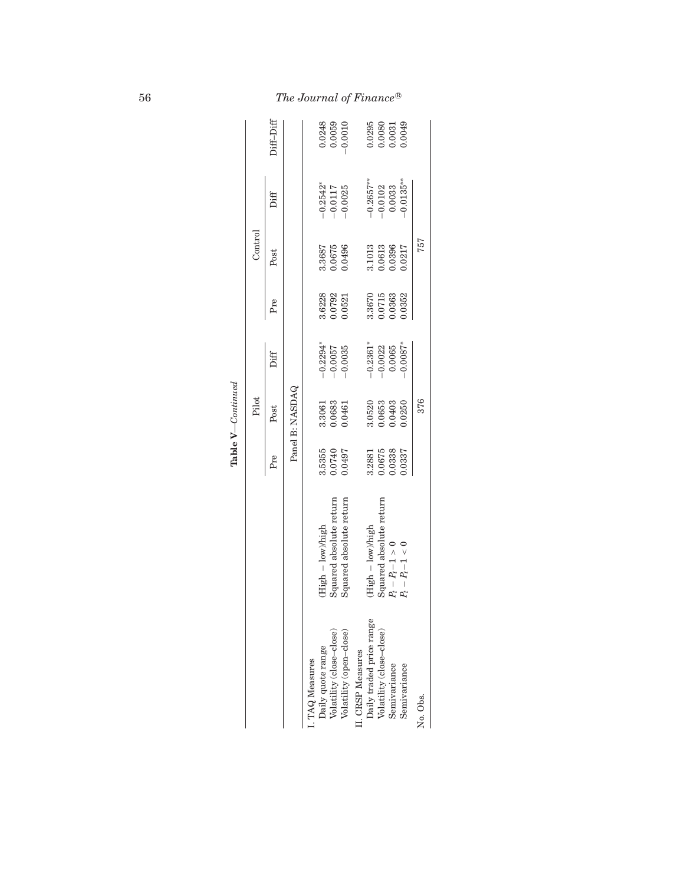|                                               |                                                         |                                                                     | Pilot                                                               |                                       |                                                                     | Control                                                             |                                                                                  |                                                                |
|-----------------------------------------------|---------------------------------------------------------|---------------------------------------------------------------------|---------------------------------------------------------------------|---------------------------------------|---------------------------------------------------------------------|---------------------------------------------------------------------|----------------------------------------------------------------------------------|----------------------------------------------------------------|
|                                               |                                                         | Pre                                                                 | Post                                                                | Diff                                  | Pre                                                                 | Post                                                                | Diff                                                                             | Diff-Diff                                                      |
|                                               |                                                         |                                                                     | Panel B: NASDAQ                                                     |                                       |                                                                     |                                                                     |                                                                                  |                                                                |
| TAQ Measures                                  | $\label{eq:High} \text{High} - \text{low} \text{/high}$ |                                                                     |                                                                     |                                       |                                                                     |                                                                     |                                                                                  |                                                                |
| Daily quote range<br>Volatility (close–close) | Squared absolute return                                 | 3.5355<br>0.0740<br>0.0497                                          | 3.3061<br>0.0683<br>0.0461                                          | $-0.2294$ *<br>$-0.0057$<br>$-0.0035$ | 3.6228<br>0.0792<br>0.0521                                          | 3.3687<br>0.0675<br>0.0496                                          | $-0.2542$ *<br>$-0.0117$<br>$-0.0025$                                            | $0.0248$<br>$0.0059$<br>$0.0010$                               |
| Volatility (open-close)                       | Squared absolute return                                 |                                                                     |                                                                     |                                       |                                                                     |                                                                     |                                                                                  |                                                                |
| I. CRSP Measures                              |                                                         |                                                                     |                                                                     |                                       |                                                                     |                                                                     |                                                                                  |                                                                |
| Daily traded price range                      | $High - low / high$                                     |                                                                     |                                                                     | $-0.2361*$                            |                                                                     |                                                                     |                                                                                  |                                                                |
| Volatility (close-close)                      | Squared absolute return                                 | $\begin{array}{c} 3.2881 \\ 0.0675 \\ 0.0338 \\ 0.0337 \end{array}$ | $\begin{array}{c} 3.0520 \\ 0.0653 \\ 0.0403 \\ 0.0250 \end{array}$ |                                       | $\begin{array}{c} 3.3670 \\ 0.0715 \\ 0.0363 \\ 0.0352 \end{array}$ | $\begin{array}{c} 3.1013 \\ 0.0613 \\ 0.0396 \\ 0.0217 \end{array}$ | $\begin{array}{r} -0.2657^{**} \\ -0.0102 \\ 0.0033 \\ -0.0135^{**} \end{array}$ | $\begin{array}{c} 0.0295\ 0.0080\ 0.0031\ 0.0049\ \end{array}$ |
| Semivariance                                  |                                                         |                                                                     |                                                                     | $-0.0022$<br>0.0065<br>0.0087*        |                                                                     |                                                                     |                                                                                  |                                                                |
| Semivariance                                  | $P_t - P_t - 1 > 0$<br>$P_t - P_t - 1 < 0$              |                                                                     |                                                                     |                                       |                                                                     |                                                                     |                                                                                  |                                                                |
| No. Obs.                                      |                                                         |                                                                     | 376                                                                 |                                       |                                                                     | 757                                                                 |                                                                                  |                                                                |
|                                               |                                                         |                                                                     |                                                                     |                                       |                                                                     |                                                                     |                                                                                  |                                                                |

**Table V***—Continued*

 ${\bf Table ~V}-Continued$ 

# 56 *The Journal of Finance* R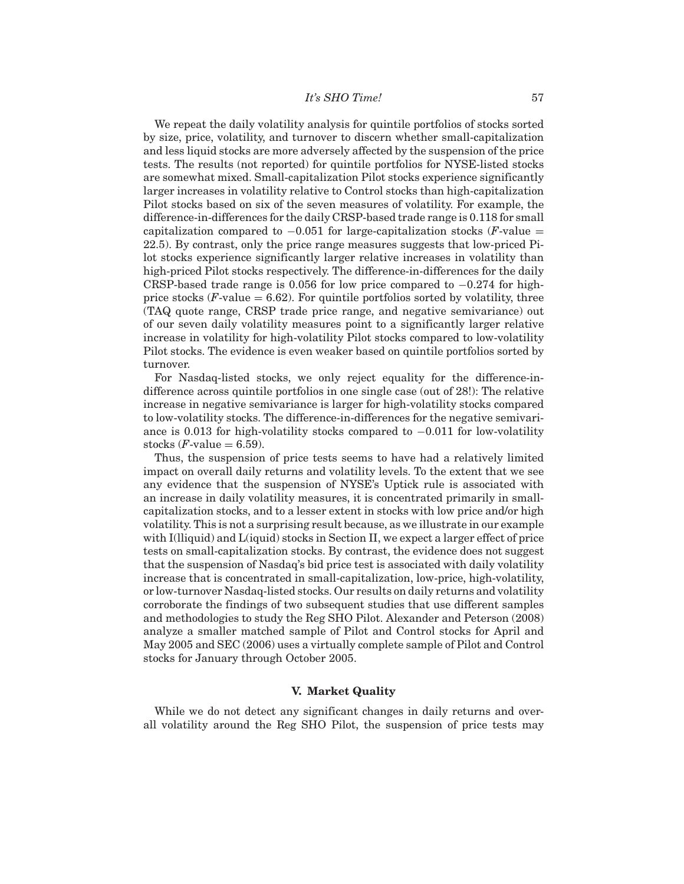We repeat the daily volatility analysis for quintile portfolios of stocks sorted by size, price, volatility, and turnover to discern whether small-capitalization and less liquid stocks are more adversely affected by the suspension of the price tests. The results (not reported) for quintile portfolios for NYSE-listed stocks are somewhat mixed. Small-capitalization Pilot stocks experience significantly larger increases in volatility relative to Control stocks than high-capitalization Pilot stocks based on six of the seven measures of volatility. For example, the difference-in-differences for the daily CRSP-based trade range is 0.118 for small capitalization compared to  $-0.051$  for large-capitalization stocks (*F*-value = 22.5). By contrast, only the price range measures suggests that low-priced Pilot stocks experience significantly larger relative increases in volatility than high-priced Pilot stocks respectively. The difference-in-differences for the daily CRSP-based trade range is 0.056 for low price compared to  $-0.274$  for highprice stocks  $(F\text{-value} = 6.62)$ . For quintile portfolios sorted by volatility, three (TAQ quote range, CRSP trade price range, and negative semivariance) out of our seven daily volatility measures point to a significantly larger relative increase in volatility for high-volatility Pilot stocks compared to low-volatility Pilot stocks. The evidence is even weaker based on quintile portfolios sorted by turnover.

For Nasdaq-listed stocks, we only reject equality for the difference-indifference across quintile portfolios in one single case (out of 28!): The relative increase in negative semivariance is larger for high-volatility stocks compared to low-volatility stocks. The difference-in-differences for the negative semivariance is 0.013 for high-volatility stocks compared to  $-0.011$  for low-volatility stocks  $(F\text{-value} = 6.59)$ .

Thus, the suspension of price tests seems to have had a relatively limited impact on overall daily returns and volatility levels. To the extent that we see any evidence that the suspension of NYSE's Uptick rule is associated with an increase in daily volatility measures, it is concentrated primarily in smallcapitalization stocks, and to a lesser extent in stocks with low price and/or high volatility. This is not a surprising result because, as we illustrate in our example with I(lliquid) and L(iquid) stocks in Section II, we expect a larger effect of price tests on small-capitalization stocks. By contrast, the evidence does not suggest that the suspension of Nasdaq's bid price test is associated with daily volatility increase that is concentrated in small-capitalization, low-price, high-volatility, or low-turnover Nasdaq-listed stocks. Our results on daily returns and volatility corroborate the findings of two subsequent studies that use different samples and methodologies to study the Reg SHO Pilot. Alexander and Peterson (2008) analyze a smaller matched sample of Pilot and Control stocks for April and May 2005 and SEC (2006) uses a virtually complete sample of Pilot and Control stocks for January through October 2005.

## **V. Market Quality**

While we do not detect any significant changes in daily returns and overall volatility around the Reg SHO Pilot, the suspension of price tests may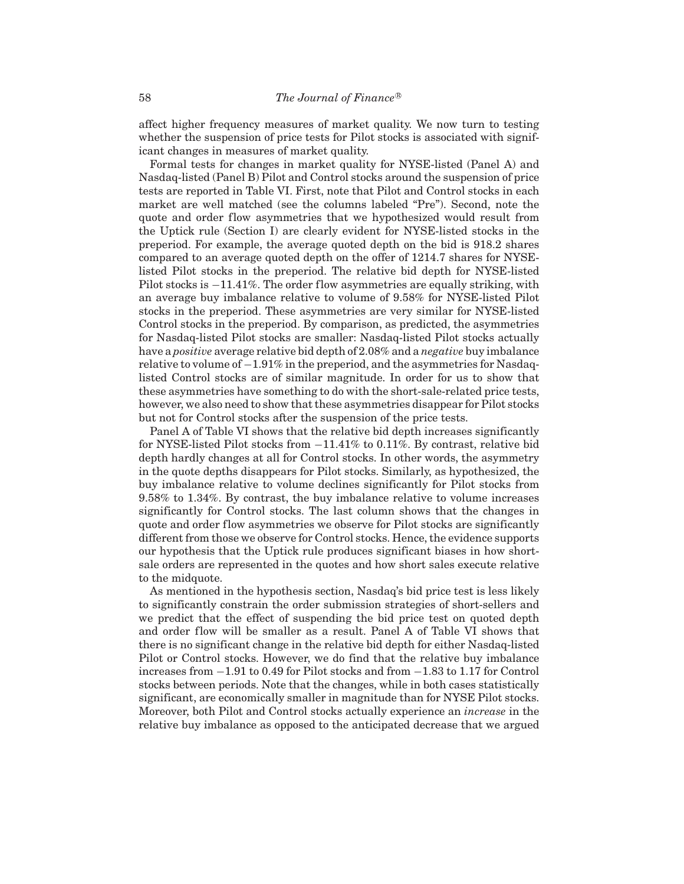affect higher frequency measures of market quality. We now turn to testing whether the suspension of price tests for Pilot stocks is associated with significant changes in measures of market quality.

Formal tests for changes in market quality for NYSE-listed (Panel A) and Nasdaq-listed (Panel B) Pilot and Control stocks around the suspension of price tests are reported in Table VI. First, note that Pilot and Control stocks in each market are well matched (see the columns labeled "Pre"). Second, note the quote and order flow asymmetries that we hypothesized would result from the Uptick rule (Section I) are clearly evident for NYSE-listed stocks in the preperiod. For example, the average quoted depth on the bid is 918.2 shares compared to an average quoted depth on the offer of 1214.7 shares for NYSElisted Pilot stocks in the preperiod. The relative bid depth for NYSE-listed Pilot stocks is  $-11.41\%$ . The order flow asymmetries are equally striking, with an average buy imbalance relative to volume of 9.58% for NYSE-listed Pilot stocks in the preperiod. These asymmetries are very similar for NYSE-listed Control stocks in the preperiod. By comparison, as predicted, the asymmetries for Nasdaq-listed Pilot stocks are smaller: Nasdaq-listed Pilot stocks actually have a *positive* average relative bid depth of 2.08% and a *negative* buy imbalance relative to volume of −1.91% in the preperiod, and the asymmetries for Nasdaqlisted Control stocks are of similar magnitude. In order for us to show that these asymmetries have something to do with the short-sale-related price tests, however, we also need to show that these asymmetries disappear for Pilot stocks but not for Control stocks after the suspension of the price tests.

Panel A of Table VI shows that the relative bid depth increases significantly for NYSE-listed Pilot stocks from −11.41% to 0.11%. By contrast, relative bid depth hardly changes at all for Control stocks. In other words, the asymmetry in the quote depths disappears for Pilot stocks. Similarly, as hypothesized, the buy imbalance relative to volume declines significantly for Pilot stocks from 9.58% to 1.34%. By contrast, the buy imbalance relative to volume increases significantly for Control stocks. The last column shows that the changes in quote and order flow asymmetries we observe for Pilot stocks are significantly different from those we observe for Control stocks. Hence, the evidence supports our hypothesis that the Uptick rule produces significant biases in how shortsale orders are represented in the quotes and how short sales execute relative to the midquote.

As mentioned in the hypothesis section, Nasdaq's bid price test is less likely to significantly constrain the order submission strategies of short-sellers and we predict that the effect of suspending the bid price test on quoted depth and order flow will be smaller as a result. Panel A of Table VI shows that there is no significant change in the relative bid depth for either Nasdaq-listed Pilot or Control stocks. However, we do find that the relative buy imbalance increases from −1.91 to 0.49 for Pilot stocks and from −1.83 to 1.17 for Control stocks between periods. Note that the changes, while in both cases statistically significant, are economically smaller in magnitude than for NYSE Pilot stocks. Moreover, both Pilot and Control stocks actually experience an *increase* in the relative buy imbalance as opposed to the anticipated decrease that we argued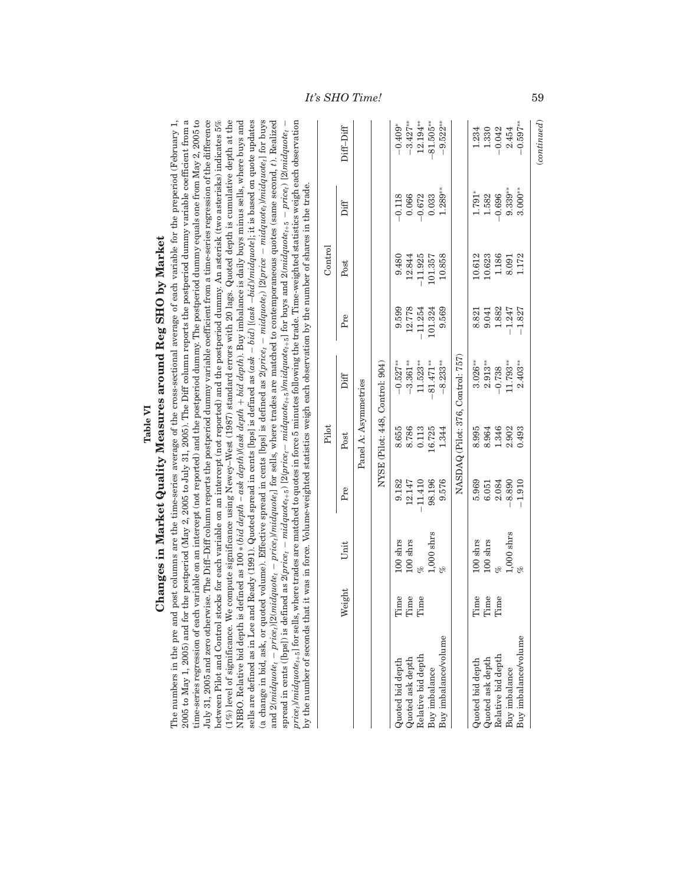|               | nd post columns are the time-series average of the cross-sectional average of each variable for the preperiod (February 1,<br>time-series regression of each variable on an intercept (not reported) and the postperiod dummy. The postperiod dummy equals one from May 2, 2005 to<br>We compute significance using Newey-West (1987) standard errors with 20 lags. Quoted depth is cumulative depth at the<br>2005 to May 1, 2005) and for the postperiod (May 2, 2005 to July 31, 2005). The Diff column reports the postperiod dummy variable coefficient from a<br>July 31, 2005 and zero otherwise. The Diff-Diff column reports the postperiod dummy variable coefficient from a time-series regression of the difference<br>stocks for each variable on an intercept (not reported) and the postperiod dummy. An asterisk (two asterisks) indicates $5\%$<br>is defined as 100 * (bid depth - ask depth) (ask depth + bid depth). Buy imbalance is daily buys minus sells, where buys and<br>and Ready (1991). Quoted spread in cents [bps] is defined as $(ask - bid)$ [(ask $-bid)$ /midquote]; it is based on quote updates<br>(a change in bid, ask, or quoted volume). Effective spread in cents [bps] is defined as $2(price_i - midqueue_i)$ [2 $(price_i - midquote_i) midquote_i)$ for buys<br>$price_1\!\! mid\!quote_{t+\mathrm{5}}\!\mathrm{]}$ for sells, where trades are matched to quotes in force 5 minutes following the trade. Time-weighted statistics weigh each observation<br>and $2(midquote_t - price_l) [2(midquote_t - price_l) midquote_l]$ for sells, where trades are matched to contemporaneous quotes (same second, t). Realized<br>$\mathsf{spread}$ in cents ([bps]) is defined as $\mathsf{2}(price_{t}-mid_{t\delta})$ [ $\mathsf{2}(price_{t}-mid_{out}$ ] $ $ and $quote_{t+\delta}/middle_{t\delta+t}$ ] for buys and $\mathsf{2}(middle_{t+\delta}-price_{t})$ [ $\mathsf{2}(middle_{t\delta}$ ]<br>by the number of seconds that it was in force. Volume-weighted statistics weigh each observation by the number of shares in the trade.<br>Changes in Market Quality Measures around Reg SHO by Market<br>Table VI | Control<br>Pilot | Diff-Diff<br>Diff<br>Post<br>Pre<br>Diff<br>Post<br>Pre<br>Unit<br>Weight | Panel A: Asymmetries | NYSE (Pilot: 448, Control: 904) | $-0.409*$<br>$-0.118$<br>9.480<br>9.599<br>$-0.527***$<br>8.655<br>9.182<br>$100$ shrs<br>Time | $-3.427**$<br>0.066<br>12.844<br>12.778<br>$-3.361**$<br>8.786<br>12.147<br>$100$ shrs<br>Time | $12.194**$<br>$-81.505***$<br>$-0.672$<br>0.033<br>$-11.925$<br>101.357<br>$-11.254$<br>101.324<br>11.523**<br>81.471**<br>16.725<br>0.113<br>98.196<br>11.410<br>$1,000$ shrs<br>Time | $-9.522**$<br>$1.289***$<br>10.858<br>9.569<br>$-8.233***$<br>1.344<br>9.576 | NASDAQ (Pilot: 376, Control: 757) | 1.234<br>1.330<br>$1.791*$<br>1.582<br>10.612<br>10.623<br>8.821<br>9.041<br>$2.913**$<br>$3.026***$<br>8.995<br>8.964<br>5.969<br>6.051<br>$100 \text{ stars}$<br>$100$ shrs<br>Time<br>Time | 2.454<br>$-0.042$<br>$9.339***$<br>$-0.696$<br>1.186<br>8.091<br>1.882<br>$-1.247$<br>11.793**<br>$-0.738$<br>1.346<br>2.902<br>2.084<br>8.890<br>$1,000$ shrs<br>Time | $-0.597***$<br>$3.000**$<br>1.172<br>$-1.827$<br>$2.403***$<br>0.493<br>$-1.910$ |
|---------------|----------------------------------------------------------------------------------------------------------------------------------------------------------------------------------------------------------------------------------------------------------------------------------------------------------------------------------------------------------------------------------------------------------------------------------------------------------------------------------------------------------------------------------------------------------------------------------------------------------------------------------------------------------------------------------------------------------------------------------------------------------------------------------------------------------------------------------------------------------------------------------------------------------------------------------------------------------------------------------------------------------------------------------------------------------------------------------------------------------------------------------------------------------------------------------------------------------------------------------------------------------------------------------------------------------------------------------------------------------------------------------------------------------------------------------------------------------------------------------------------------------------------------------------------------------------------------------------------------------------------------------------------------------------------------------------------------------------------------------------------------------------------------------------------------------------------------------------------------------------------------------------------------------------------------------------------------------------------------------------------------------------------------------------------------------------------------------------------------------------------------------------------------------------------|------------------|---------------------------------------------------------------------------|----------------------|---------------------------------|------------------------------------------------------------------------------------------------|------------------------------------------------------------------------------------------------|----------------------------------------------------------------------------------------------------------------------------------------------------------------------------------------|------------------------------------------------------------------------------|-----------------------------------|-----------------------------------------------------------------------------------------------------------------------------------------------------------------------------------------------|------------------------------------------------------------------------------------------------------------------------------------------------------------------------|----------------------------------------------------------------------------------|
| Buy imbalance | sells are defined as in Lee a<br>The numbers in the pre are<br>NBBO. Relative bid depth<br>between Pilot and Control<br>$(1\%)$ level of significance.                                                                                                                                                                                                                                                                                                                                                                                                                                                                                                                                                                                                                                                                                                                                                                                                                                                                                                                                                                                                                                                                                                                                                                                                                                                                                                                                                                                                                                                                                                                                                                                                                                                                                                                                                                                                                                                                                                                                                                                                               |                  |                                                                           |                      |                                 | Quoted bid depth                                                                               | Quoted ask depth                                                                               | Relative bid depth<br>Buy imbalance                                                                                                                                                    | Buy imbalance/volume                                                         |                                   | Quoted ask depth<br>Quoted bid depth                                                                                                                                                          | Relative bid depth                                                                                                                                                     | Buy imbalance/volume                                                             |

# **Table VI**

# *It's SHO Time!* 59

 $\left( continued\right)$ (*continued*)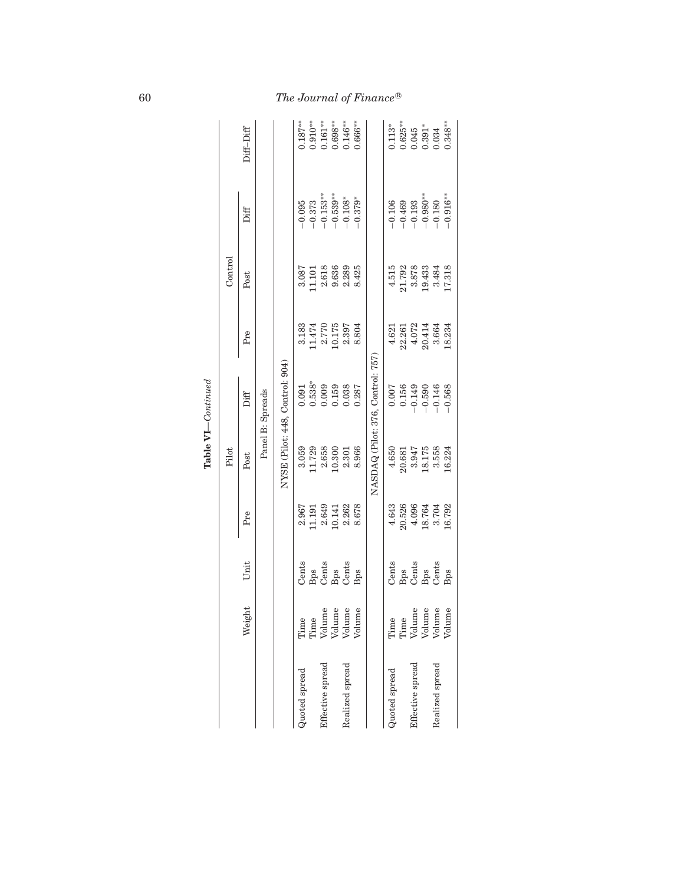|                  |                  |                              |                                                                   |                                                                  | Table VI-Continued                                                                           |                                                                            |                                                         |                                                                                    |                                                                                     |
|------------------|------------------|------------------------------|-------------------------------------------------------------------|------------------------------------------------------------------|----------------------------------------------------------------------------------------------|----------------------------------------------------------------------------|---------------------------------------------------------|------------------------------------------------------------------------------------|-------------------------------------------------------------------------------------|
|                  |                  |                              |                                                                   | Pilot                                                            |                                                                                              |                                                                            | Control                                                 |                                                                                    |                                                                                     |
|                  | Weight           | Unit                         | Pre                                                               | Post                                                             | Diff                                                                                         | Pre                                                                        | Post                                                    | Diff                                                                               | Diff-Diff                                                                           |
|                  |                  |                              |                                                                   |                                                                  | Panel B: Spreads                                                                             |                                                                            |                                                         |                                                                                    |                                                                                     |
|                  |                  |                              |                                                                   | NYSE (Pilot: 448, Control: 904)                                  |                                                                                              |                                                                            |                                                         |                                                                                    |                                                                                     |
| Quoted spread    | Time             | Cents                        |                                                                   | 3.059                                                            |                                                                                              |                                                                            |                                                         | $-0.095$                                                                           | $0.187***$                                                                          |
|                  | Time             |                              |                                                                   | 1.729                                                            |                                                                                              |                                                                            |                                                         |                                                                                    |                                                                                     |
| Effective spread |                  |                              | $\begin{array}{c} 2.967 \\ 11.191 \\ 2.649 \\ 10.141 \end{array}$ |                                                                  |                                                                                              |                                                                            |                                                         |                                                                                    |                                                                                     |
|                  | Volume<br>Volume | Bps<br>Cents<br>Bps<br>Cents |                                                                   | $\begin{array}{c} 2.658 \\ 10.300 \\ 2.301 \\ 8.966 \end{array}$ | $\begin{array}{c} 0.091 \\ 0.538^* \\ 0.009 \\ 0.159 \\ 0.159 \\ 0.038 \\ 0.038 \end{array}$ | $\begin{array}{c} 3.183 \\ 11.474 \\ 2.770 \\ 10.175 \\ 2.397 \end{array}$ | $3.087$<br>$-1.101$<br>$-1.636$<br>$-1.636$<br>$-2.389$ | $\begin{array}{r} -0.373 \ -0.153$ **<br>-0.539**<br>-0.108*                       | $\begin{array}{c} 0.910^{**} \\ 0.161^{**} \\ 0.698^{**} \\ 0.146^{**} \end{array}$ |
| Realized spread  | Volume           |                              | 2.262                                                             |                                                                  |                                                                                              |                                                                            |                                                         |                                                                                    |                                                                                     |
|                  | me<br>Volui      | Bps                          | 8.678                                                             |                                                                  |                                                                                              | 8.804                                                                      | 8.425                                                   | $-0.379*$                                                                          | $0.666***$                                                                          |
|                  |                  |                              |                                                                   | NASDAQ (Pilot: 376, Control: 757)                                |                                                                                              |                                                                            |                                                         |                                                                                    |                                                                                     |
| Quoted spread    | Time             | Cents                        |                                                                   | 4.650                                                            |                                                                                              | 4.621                                                                      | 4.515                                                   |                                                                                    | $0.113*$                                                                            |
|                  |                  |                              |                                                                   |                                                                  |                                                                                              |                                                                            |                                                         |                                                                                    |                                                                                     |
| Effective spread | Time<br>Volume   |                              | $\begin{array}{c} 4.643 \\ 20.526 \\ 4.096 \\ 18.764 \end{array}$ | $\frac{20.681}{3.947}$<br>18.175                                 |                                                                                              |                                                                            | $\frac{21.792}{3.878}$<br>19.433                        |                                                                                    |                                                                                     |
|                  | Volume           | Bps<br>Cents<br>Bps<br>Cents |                                                                   |                                                                  | $\begin{array}{c} 0.007 \\ 0.156 \\ -0.149 \\ -0.590 \\ -0.149 \\ -0.046 \end{array}$        | $22.261$<br>$4.072$<br>$20.414$<br>$20.414$                                |                                                         | $\begin{array}{r} -0.106 \\ -0.469 \\ -0.193 \\ -0.980^{**} \\ -0.300 \end{array}$ | $0.625**$<br>$0.045$<br>$0.391**$<br>$0.034$                                        |
| Realized spread  | Volume           |                              | 3.704                                                             | 3.558                                                            |                                                                                              |                                                                            | 3.484                                                   |                                                                                    |                                                                                     |
|                  | me<br>Volur      | Bps                          | 16.792                                                            | 16.224                                                           | $-0.568$                                                                                     | 18.234                                                                     | 17.318                                                  | $-0.916***$                                                                        | $0.348***$                                                                          |
|                  |                  |                              |                                                                   |                                                                  |                                                                                              |                                                                            |                                                         |                                                                                    |                                                                                     |

# 60 *The Journal of Finance* R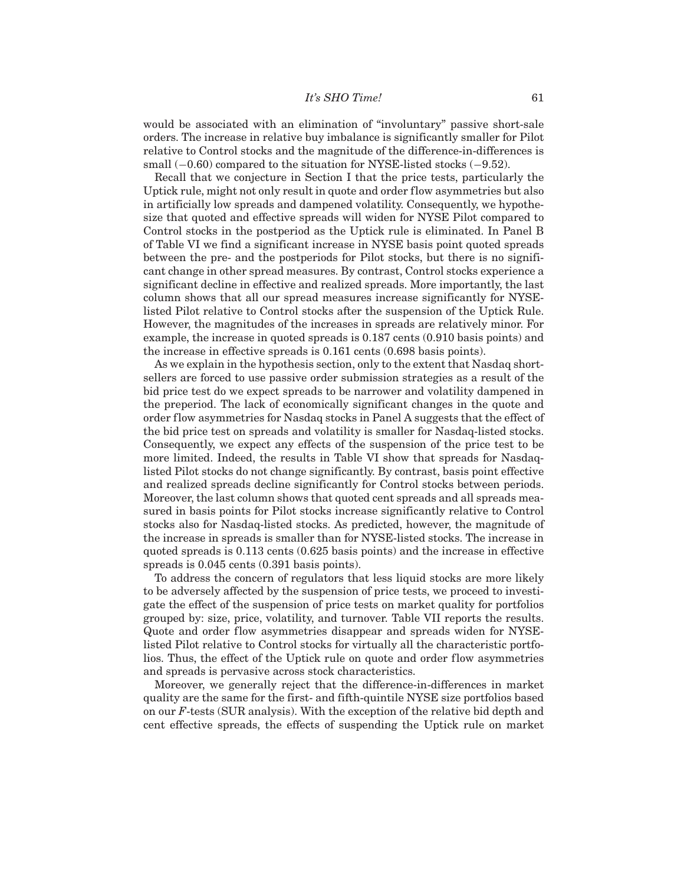# *It's SHO Time!* 61

would be associated with an elimination of "involuntary" passive short-sale orders. The increase in relative buy imbalance is significantly smaller for Pilot relative to Control stocks and the magnitude of the difference-in-differences is small  $(-0.60)$  compared to the situation for NYSE-listed stocks  $(-9.52)$ .

Recall that we conjecture in Section I that the price tests, particularly the Uptick rule, might not only result in quote and order flow asymmetries but also in artificially low spreads and dampened volatility. Consequently, we hypothesize that quoted and effective spreads will widen for NYSE Pilot compared to Control stocks in the postperiod as the Uptick rule is eliminated. In Panel B of Table VI we find a significant increase in NYSE basis point quoted spreads between the pre- and the postperiods for Pilot stocks, but there is no significant change in other spread measures. By contrast, Control stocks experience a significant decline in effective and realized spreads. More importantly, the last column shows that all our spread measures increase significantly for NYSElisted Pilot relative to Control stocks after the suspension of the Uptick Rule. However, the magnitudes of the increases in spreads are relatively minor. For example, the increase in quoted spreads is 0.187 cents (0.910 basis points) and the increase in effective spreads is 0.161 cents (0.698 basis points).

As we explain in the hypothesis section, only to the extent that Nasdaq shortsellers are forced to use passive order submission strategies as a result of the bid price test do we expect spreads to be narrower and volatility dampened in the preperiod. The lack of economically significant changes in the quote and order flow asymmetries for Nasdaq stocks in Panel A suggests that the effect of the bid price test on spreads and volatility is smaller for Nasdaq-listed stocks. Consequently, we expect any effects of the suspension of the price test to be more limited. Indeed, the results in Table VI show that spreads for Nasdaqlisted Pilot stocks do not change significantly. By contrast, basis point effective and realized spreads decline significantly for Control stocks between periods. Moreover, the last column shows that quoted cent spreads and all spreads measured in basis points for Pilot stocks increase significantly relative to Control stocks also for Nasdaq-listed stocks. As predicted, however, the magnitude of the increase in spreads is smaller than for NYSE-listed stocks. The increase in quoted spreads is 0.113 cents (0.625 basis points) and the increase in effective spreads is 0.045 cents (0.391 basis points).

To address the concern of regulators that less liquid stocks are more likely to be adversely affected by the suspension of price tests, we proceed to investigate the effect of the suspension of price tests on market quality for portfolios grouped by: size, price, volatility, and turnover. Table VII reports the results. Quote and order flow asymmetries disappear and spreads widen for NYSElisted Pilot relative to Control stocks for virtually all the characteristic portfolios. Thus, the effect of the Uptick rule on quote and order flow asymmetries and spreads is pervasive across stock characteristics.

Moreover, we generally reject that the difference-in-differences in market quality are the same for the first- and fifth-quintile NYSE size portfolios based on our *F*-tests (SUR analysis). With the exception of the relative bid depth and cent effective spreads, the effects of suspending the Uptick rule on market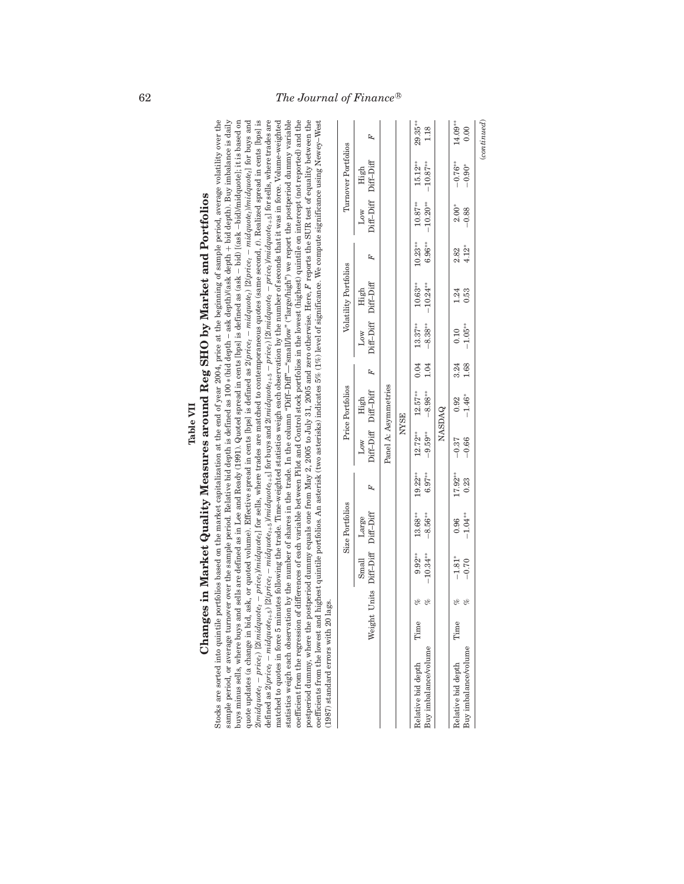# 62 *The Journal of Finance* R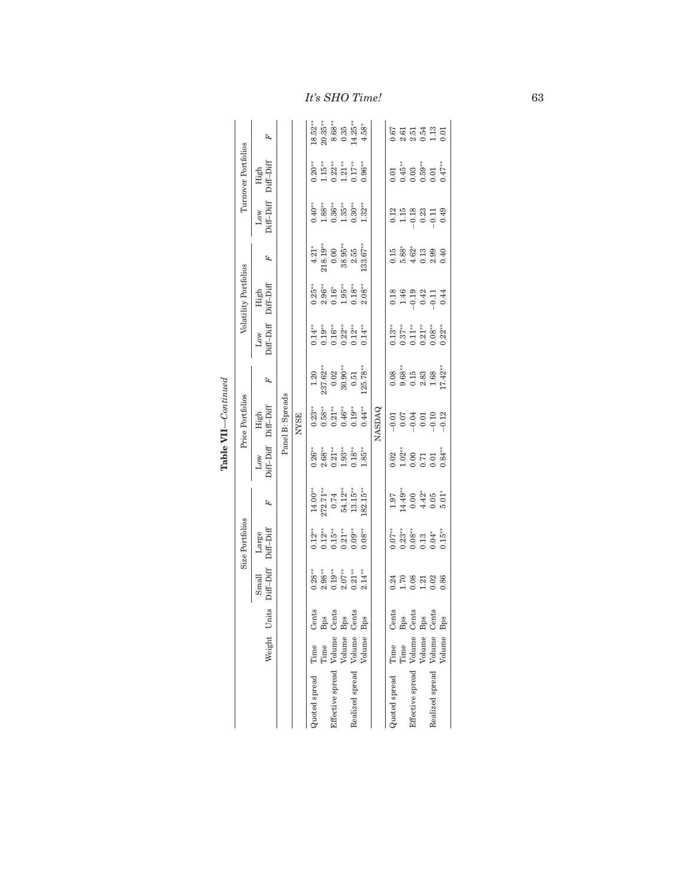|                     |                       | E                               |                  |             |                                                                                                                                                                                                                |  |                                                             | $8.52$<br>$8.53$<br>$8.68$<br>$8.53$<br>$8.53$<br>$8.53$<br>$9.42$<br>$14.2$                                                                                                                                                                                                                                   | $4.58*$     |        |               | 0.61<br>0.6154<br>0.6110<br>0.6110                                                                                                                                                                                                                                                                                                                                                                                   |  |            |
|---------------------|-----------------------|---------------------------------|------------------|-------------|----------------------------------------------------------------------------------------------------------------------------------------------------------------------------------------------------------------|--|-------------------------------------------------------------|----------------------------------------------------------------------------------------------------------------------------------------------------------------------------------------------------------------------------------------------------------------------------------------------------------------|-------------|--------|---------------|----------------------------------------------------------------------------------------------------------------------------------------------------------------------------------------------------------------------------------------------------------------------------------------------------------------------------------------------------------------------------------------------------------------------|--|------------|
|                     | Turnover Portfolios   | Diff-Diff<br>High               |                  |             |                                                                                                                                                                                                                |  |                                                             | $\begin{array}{l} 20^{**} \\ 1.15^{**} \\ 1.22^{**} \\ 1.21^{**} \\ 1.08^{**} \\ 0.096^{**} \end{array}$                                                                                                                                                                                                       |             |        |               | $\begin{array}{c} 0.01 \ 0.45^{**} \ 0.03 \ 0.59^{**} \ 0.01 \ 0.01 \ 0.047^{**} \end{array}$                                                                                                                                                                                                                                                                                                                        |  |            |
|                     |                       | Diff-Diff<br>$_{\rm Low}$       |                  |             |                                                                                                                                                                                                                |  |                                                             | $0.40**$<br>$0.36**$<br>$0.35**$<br>$0.30**$<br>$0.32**$                                                                                                                                                                                                                                                       |             |        |               | $\begin{array}{c} 0.12 \\ -1.13 \\ -0.23 \\ -0.31 \\ -0.49 \end{array}$                                                                                                                                                                                                                                                                                                                                              |  |            |
|                     |                       | F                               |                  |             |                                                                                                                                                                                                                |  |                                                             | $4.21^*$<br>218.19 <sup>**</sup><br>218.19<br>38.55<br>2.55                                                                                                                                                                                                                                                    | $133.67**$  |        |               | មិន្ត្រី<br>ដូច្នេះ ដូច<br>ដូច្នេះ ដូច                                                                                                                                                                                                                                                                                                                                                                               |  |            |
|                     | Volatility Portfolios | Diff-Diff<br>High               |                  |             |                                                                                                                                                                                                                |  |                                                             | $\begin{array}{l} 0.25^{**} \ 0.96^{**} \ 0.16^{**} \ 0.195^{**} \ 0.18^{**} \ 0.208^{**} \end{array}$                                                                                                                                                                                                         |             |        |               | $0.18$<br>$-1.46$<br>$-0.12$<br>$-0.11$<br>$-0.11$                                                                                                                                                                                                                                                                                                                                                                   |  | 0.44       |
|                     |                       | $Diff-Diff$<br>$_{\rm Low}$     |                  |             |                                                                                                                                                                                                                |  |                                                             | $\begin{array}{l} 14**\\ 19**\\ 0.16**\\ 0.021*\\ 0.12**\\ 0.12**\\ 0.14** \end{array}$                                                                                                                                                                                                                        |             |        |               | $\begin{array}{l} \mathbf{13} \# \\ \mathbf{25} \# \\ \mathbf{37} \# \\ \mathbf{48} \# \\ \mathbf{59} \# \\ \mathbf{60} \# \\ \mathbf{70} \# \\ \mathbf{88} \# \\ \mathbf{18} \# \\ \mathbf{19} \# \\ \mathbf{10} \# \\ \mathbf{20} \# \\ \mathbf{30} \# \\ \mathbf{41} \# \\ \mathbf{52} \# \\ \mathbf{63} \# \\ \mathbf{74} \# \\ \mathbf{85} \# \\ \mathbf{18} \# \\ \mathbf{19} \# \\ \mathbf{10} \# \\ \mathbf$ |  |            |
|                     |                       | F                               |                  |             |                                                                                                                                                                                                                |  |                                                             | $\begin{array}{c} 1.20 \\ 237.62^{***} \\ 0.02 \\ 30.90^{***} \\ 0.51 \end{array}$                                                                                                                                                                                                                             | $125.78***$ |        |               | $0.88$<br>$0.588$<br>$0.588$<br>$0.588$<br>$0.42$<br>$0.54$                                                                                                                                                                                                                                                                                                                                                          |  |            |
| Table VII-Continued | Price Portfolios      | $Diff-Diff$<br>High             | Panel B: Spreads | <b>NYSE</b> |                                                                                                                                                                                                                |  |                                                             | $\begin{array}{c} \texttt{33} \texttt{**} \\ \texttt{0.58} \texttt{**} \\ \texttt{0.51} \texttt{**} \\ \texttt{0.31} \texttt{**} \\ \texttt{0.19} \texttt{**} \\ \texttt{0.14} \texttt{**} \end{array}$                                                                                                        |             | NASDAQ |               | $-0.01$<br>$-0.07$<br>$-0.01$<br>$-0.12$<br>$-0.12$                                                                                                                                                                                                                                                                                                                                                                  |  |            |
|                     |                       | $Diff$ -Diff<br>$_{\text{Low}}$ |                  |             |                                                                                                                                                                                                                |  |                                                             | $\begin{array}{c} 0.26^{**} \\ 2.68^{**} \\ 2.021^{**} \\ 1.93^{**} \\ 1.85^{**} \\ 1.85^{**} \end{array}$                                                                                                                                                                                                     |             |        |               | $0.02$<br>$1.02$<br>$0.01$<br>$0.01$<br>$0.03$<br>$0.84$                                                                                                                                                                                                                                                                                                                                                             |  |            |
|                     |                       | F                               |                  |             |                                                                                                                                                                                                                |  | $14.00**$<br>$272.71**$<br>$0.74$<br>$54.12**$<br>$13.15**$ |                                                                                                                                                                                                                                                                                                                | $182.15***$ |        |               | $\begin{array}{l} 1.97 \\ -4.49^{\ast \ast} \\ -4.49^{\ast \ast} \\ -6.64^{\ast \ast} \\ -6.01^{\ast \ast} \\ 5.01^{\ast \ast} \end{array}$                                                                                                                                                                                                                                                                          |  |            |
|                     | Size Portfolios       | Diff-Diff<br>Large              |                  |             |                                                                                                                                                                                                                |  |                                                             |                                                                                                                                                                                                                                                                                                                |             |        |               | $0.07$<br>$0.23$<br>$0.08$<br>$0.13$<br>$0.04$<br>$0.15$<br>$0.15$                                                                                                                                                                                                                                                                                                                                                   |  |            |
|                     |                       | Diff-Diff<br>Small              |                  |             |                                                                                                                                                                                                                |  |                                                             | $\begin{array}{c} 3\\ 8\\ 1\\ 3\\ 0\\ 2\\ 0\\ 3\\ 0\\ 4\\ 1\\ 4\\ 2\\ 1\\ 4\\ 3\\ 1\\ 2\\ 1\\ 2\\ 3\\ 1\\ 4\\ 3\\ 1\\ 4\\ 4\\ 1\\ 4\\ 1\\ 4\\ 1\\ 4\\ 1\\ 4\\ 1\\ 4\\ 1\\ 4\\ 1\\ 4\\ 1\\ 4\\ 1\\ 4\\ 1\\ 4\\ 1\\ 4\\ 1\\ 4\\ 1\\ 4\\ 1\\ 4\\ 1\\ 4\\ 1\\ 4\\ 1\\ 4\\ 1\\ 4\\ 1\\ 4\\ 1\\ 4\\ 1\\ 4\\ 1\\ 4\\$ |             |        |               | $0.18808$<br>$0.10080$<br>$0.0080$                                                                                                                                                                                                                                                                                                                                                                                   |  |            |
|                     |                       |                                 |                  |             |                                                                                                                                                                                                                |  |                                                             |                                                                                                                                                                                                                                                                                                                |             |        |               | Cents<br>Bps<br>Cents<br>Bps<br>Cents                                                                                                                                                                                                                                                                                                                                                                                |  | <b>Bps</b> |
|                     |                       | Weight Units                    |                  |             |                                                                                                                                                                                                                |  |                                                             |                                                                                                                                                                                                                                                                                                                | Volume Bps  |        | Time          |                                                                                                                                                                                                                                                                                                                                                                                                                      |  | Volume     |
|                     |                       |                                 |                  |             | $\begin{tabular}{ll} Quoted spread & Time & Cents \\ Ritective spread & Time & Bps \\ Effective spread & Volume & Cents \\ Redized spread & Volume & Bps \\ Realized spread & Volume & Cents \\ \end{tabular}$ |  |                                                             |                                                                                                                                                                                                                                                                                                                |             |        | Quoted spread | $\begin{tabular}{ll} Time & B \\ Effective spread & Volume & C \\ Volume & Volume & B \\ Realized spread & Volume & B \\ Realized spread & Volume & C \\ \end{tabular}$                                                                                                                                                                                                                                              |  |            |

# *It's SHO Time!* 63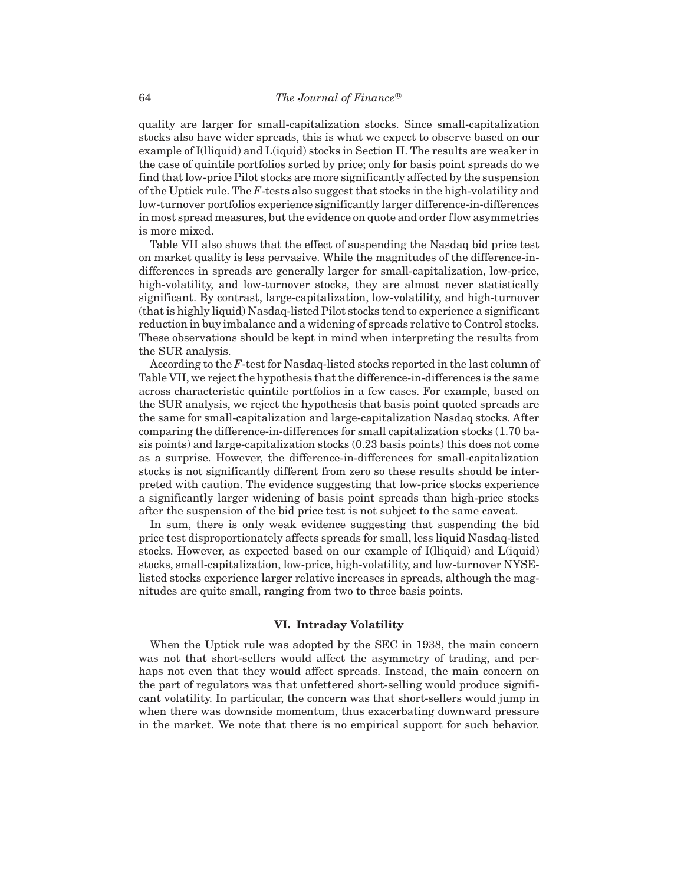quality are larger for small-capitalization stocks. Since small-capitalization stocks also have wider spreads, this is what we expect to observe based on our example of I(lliquid) and L(iquid) stocks in Section II. The results are weaker in the case of quintile portfolios sorted by price; only for basis point spreads do we find that low-price Pilot stocks are more significantly affected by the suspension of the Uptick rule. The *F*-tests also suggest that stocks in the high-volatility and low-turnover portfolios experience significantly larger difference-in-differences in most spread measures, but the evidence on quote and order flow asymmetries is more mixed.

Table VII also shows that the effect of suspending the Nasdaq bid price test on market quality is less pervasive. While the magnitudes of the difference-indifferences in spreads are generally larger for small-capitalization, low-price, high-volatility, and low-turnover stocks, they are almost never statistically significant. By contrast, large-capitalization, low-volatility, and high-turnover (that is highly liquid) Nasdaq-listed Pilot stocks tend to experience a significant reduction in buy imbalance and a widening of spreads relative to Control stocks. These observations should be kept in mind when interpreting the results from the SUR analysis.

According to the *F*-test for Nasdaq-listed stocks reported in the last column of Table VII, we reject the hypothesis that the difference-in-differences is the same across characteristic quintile portfolios in a few cases. For example, based on the SUR analysis, we reject the hypothesis that basis point quoted spreads are the same for small-capitalization and large-capitalization Nasdaq stocks. After comparing the difference-in-differences for small capitalization stocks (1.70 basis points) and large-capitalization stocks (0.23 basis points) this does not come as a surprise. However, the difference-in-differences for small-capitalization stocks is not significantly different from zero so these results should be interpreted with caution. The evidence suggesting that low-price stocks experience a significantly larger widening of basis point spreads than high-price stocks after the suspension of the bid price test is not subject to the same caveat.

In sum, there is only weak evidence suggesting that suspending the bid price test disproportionately affects spreads for small, less liquid Nasdaq-listed stocks. However, as expected based on our example of I(lliquid) and L(iquid) stocks, small-capitalization, low-price, high-volatility, and low-turnover NYSElisted stocks experience larger relative increases in spreads, although the magnitudes are quite small, ranging from two to three basis points.

# **VI. Intraday Volatility**

When the Uptick rule was adopted by the SEC in 1938, the main concern was not that short-sellers would affect the asymmetry of trading, and perhaps not even that they would affect spreads. Instead, the main concern on the part of regulators was that unfettered short-selling would produce significant volatility. In particular, the concern was that short-sellers would jump in when there was downside momentum, thus exacerbating downward pressure in the market. We note that there is no empirical support for such behavior.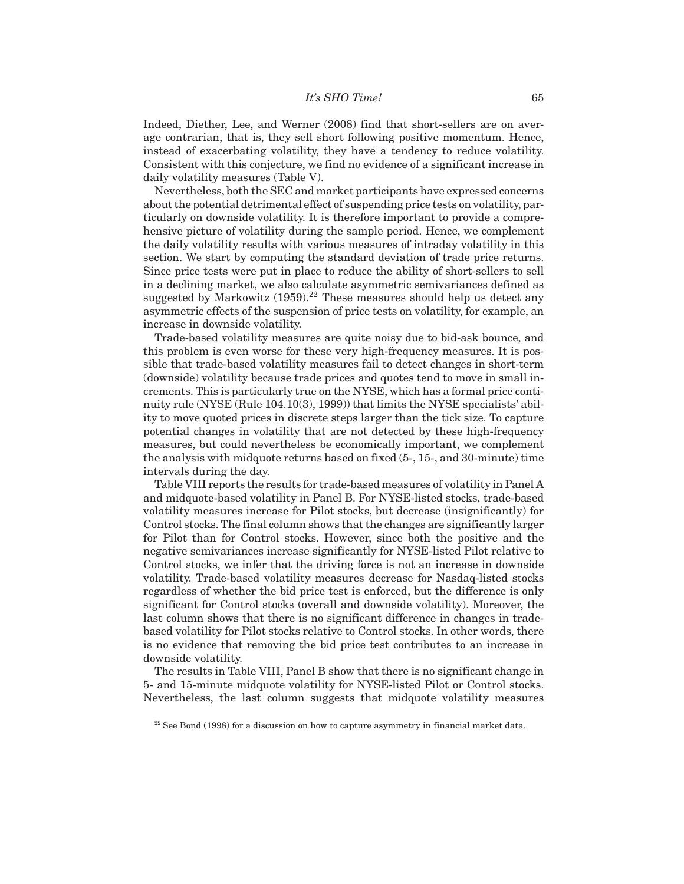Indeed, Diether, Lee, and Werner (2008) find that short-sellers are on average contrarian, that is, they sell short following positive momentum. Hence, instead of exacerbating volatility, they have a tendency to reduce volatility. Consistent with this conjecture, we find no evidence of a significant increase in daily volatility measures (Table V).

Nevertheless, both the SEC and market participants have expressed concerns about the potential detrimental effect of suspending price tests on volatility, particularly on downside volatility. It is therefore important to provide a comprehensive picture of volatility during the sample period. Hence, we complement the daily volatility results with various measures of intraday volatility in this section. We start by computing the standard deviation of trade price returns. Since price tests were put in place to reduce the ability of short-sellers to sell in a declining market, we also calculate asymmetric semivariances defined as suggested by Markowitz  $(1959)^{22}$  These measures should help us detect any asymmetric effects of the suspension of price tests on volatility, for example, an increase in downside volatility.

Trade-based volatility measures are quite noisy due to bid-ask bounce, and this problem is even worse for these very high-frequency measures. It is possible that trade-based volatility measures fail to detect changes in short-term (downside) volatility because trade prices and quotes tend to move in small increments. This is particularly true on the NYSE, which has a formal price continuity rule (NYSE (Rule 104.10(3), 1999)) that limits the NYSE specialists' ability to move quoted prices in discrete steps larger than the tick size. To capture potential changes in volatility that are not detected by these high-frequency measures, but could nevertheless be economically important, we complement the analysis with midquote returns based on fixed (5-, 15-, and 30-minute) time intervals during the day.

Table VIII reports the results for trade-based measures of volatility in Panel A and midquote-based volatility in Panel B. For NYSE-listed stocks, trade-based volatility measures increase for Pilot stocks, but decrease (insignificantly) for Control stocks. The final column shows that the changes are significantly larger for Pilot than for Control stocks. However, since both the positive and the negative semivariances increase significantly for NYSE-listed Pilot relative to Control stocks, we infer that the driving force is not an increase in downside volatility. Trade-based volatility measures decrease for Nasdaq-listed stocks regardless of whether the bid price test is enforced, but the difference is only significant for Control stocks (overall and downside volatility). Moreover, the last column shows that there is no significant difference in changes in tradebased volatility for Pilot stocks relative to Control stocks. In other words, there is no evidence that removing the bid price test contributes to an increase in downside volatility.

The results in Table VIII, Panel B show that there is no significant change in 5- and 15-minute midquote volatility for NYSE-listed Pilot or Control stocks. Nevertheless, the last column suggests that midquote volatility measures

 $22$  See Bond (1998) for a discussion on how to capture asymmetry in financial market data.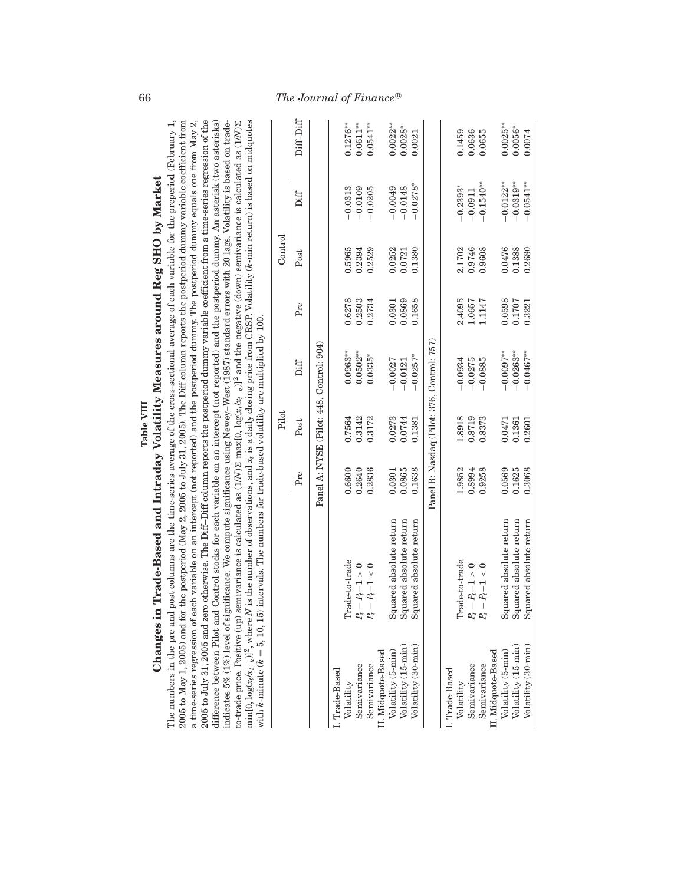| to-trade price. Positive (up) | The numbers in the pre and post columns are the time-series average of the cross-sectional average of each variable for the preperiod (Pebruary 1,<br>$2005$ to July 31, 2005 and zero otherwise. The Diff-Diff column reports the postperiod dummy variable coefficient from a time-series regression of the<br>indicates 5% (1%) level of significance. We compute significance using Newey–West (1987) standard errors with 20 lags. Volatility is based on trade-<br>$\min[0,\log(x_t/x_{t-k}))^2$ , where N is the number of observations, and $x_t$ is a daily closing price from CRSP. Volatility (k-min return) is based on midquotes<br>$2005$ to May 1, $2005$ ) and for the postperiod (May 2, $2005$ to July 31, $2005$ ). The Diff column reports the postperiod dumny variable coefficient from<br>a time-series regression of each variable on an intercept (not reported) and the postperiod dummy. The postperiod dummy equals one from May 2,<br>difference between Pilot and Control stocks for each variable on an intercept (not reported) and the postperiod dummy. An asterisk (two asterisks)<br>semivariance is calculated as $(1/N)$ $\Sigma$ max $[0, \log(\kappa/\kappa_{t-k})]^2$ and the negative (down) semivariance is calculated as $(1/N)$ $\Sigma$<br>with k-minute ( $k = 5$ , 10, 15) intervals. The numbers for trade-based volatility are multiplied by 100 |        |        |                                            |        |         |             |             |
|-------------------------------|----------------------------------------------------------------------------------------------------------------------------------------------------------------------------------------------------------------------------------------------------------------------------------------------------------------------------------------------------------------------------------------------------------------------------------------------------------------------------------------------------------------------------------------------------------------------------------------------------------------------------------------------------------------------------------------------------------------------------------------------------------------------------------------------------------------------------------------------------------------------------------------------------------------------------------------------------------------------------------------------------------------------------------------------------------------------------------------------------------------------------------------------------------------------------------------------------------------------------------------------------------------------------------------------------------------------------------------------------------------------------------------------------|--------|--------|--------------------------------------------|--------|---------|-------------|-------------|
|                               |                                                                                                                                                                                                                                                                                                                                                                                                                                                                                                                                                                                                                                                                                                                                                                                                                                                                                                                                                                                                                                                                                                                                                                                                                                                                                                                                                                                                    |        | Pilot  |                                            |        | Control |             |             |
|                               |                                                                                                                                                                                                                                                                                                                                                                                                                                                                                                                                                                                                                                                                                                                                                                                                                                                                                                                                                                                                                                                                                                                                                                                                                                                                                                                                                                                                    | Pre    | Post   | Diff                                       | Pre    | Post    | Diff        | Diff-Diff   |
|                               |                                                                                                                                                                                                                                                                                                                                                                                                                                                                                                                                                                                                                                                                                                                                                                                                                                                                                                                                                                                                                                                                                                                                                                                                                                                                                                                                                                                                    |        |        | Panel A: NYSE (Pilot: 448, Control: 904)   |        |         |             |             |
| I. Trade-Based                |                                                                                                                                                                                                                                                                                                                                                                                                                                                                                                                                                                                                                                                                                                                                                                                                                                                                                                                                                                                                                                                                                                                                                                                                                                                                                                                                                                                                    |        |        |                                            |        |         |             |             |
| Volatility                    | rade-to-trade                                                                                                                                                                                                                                                                                                                                                                                                                                                                                                                                                                                                                                                                                                                                                                                                                                                                                                                                                                                                                                                                                                                                                                                                                                                                                                                                                                                      | 0.6600 | 0.7564 | $0.0963***$                                | 0.6278 | 0.5965  | $-0.0313$   | $0.1276***$ |
| Semivariance                  | $P_t - P_t - 1 > 0$                                                                                                                                                                                                                                                                                                                                                                                                                                                                                                                                                                                                                                                                                                                                                                                                                                                                                                                                                                                                                                                                                                                                                                                                                                                                                                                                                                                | 0.2640 | 0.3142 | $0.0502***$                                | 0.2503 | 0.2394  | $-0.0109$   | $0.0611***$ |
| Semivariance                  | $P_t - P_t - 1 < 0$                                                                                                                                                                                                                                                                                                                                                                                                                                                                                                                                                                                                                                                                                                                                                                                                                                                                                                                                                                                                                                                                                                                                                                                                                                                                                                                                                                                | 0.2836 | 0.3172 | $0.0335*$                                  | 0.2734 | 0.2529  | $-0.0205$   | $0.0541***$ |
| II. Midquote-Based            |                                                                                                                                                                                                                                                                                                                                                                                                                                                                                                                                                                                                                                                                                                                                                                                                                                                                                                                                                                                                                                                                                                                                                                                                                                                                                                                                                                                                    |        |        |                                            |        |         |             |             |
| Volatility (5-min)            | Squared absolute return                                                                                                                                                                                                                                                                                                                                                                                                                                                                                                                                                                                                                                                                                                                                                                                                                                                                                                                                                                                                                                                                                                                                                                                                                                                                                                                                                                            | 0.0301 | 0.0273 | $-0.0027$                                  | 0.0301 | 0.0252  | $-0.0049$   | $0.0022***$ |
| Volatility (15-min)           | Squared absolute return                                                                                                                                                                                                                                                                                                                                                                                                                                                                                                                                                                                                                                                                                                                                                                                                                                                                                                                                                                                                                                                                                                                                                                                                                                                                                                                                                                            | 0.0865 | 0.0744 | $-0.0121$                                  | 0.0869 | 0.0721  | $-0.0148$   | $0.0028*$   |
| Volatility (30-min)           | Squared absolute return                                                                                                                                                                                                                                                                                                                                                                                                                                                                                                                                                                                                                                                                                                                                                                                                                                                                                                                                                                                                                                                                                                                                                                                                                                                                                                                                                                            | 0.1638 | 0.1381 | $-0.0257*$                                 | 0.1658 | 0.1380  | $-0.0278*$  | 0.0021      |
|                               |                                                                                                                                                                                                                                                                                                                                                                                                                                                                                                                                                                                                                                                                                                                                                                                                                                                                                                                                                                                                                                                                                                                                                                                                                                                                                                                                                                                                    |        |        | Panel B: Nasdaq (Pilot: 376, Control: 757) |        |         |             |             |
| I. Trade-Based                |                                                                                                                                                                                                                                                                                                                                                                                                                                                                                                                                                                                                                                                                                                                                                                                                                                                                                                                                                                                                                                                                                                                                                                                                                                                                                                                                                                                                    |        |        |                                            |        |         |             |             |
| Volatility                    | Trade-to-trade                                                                                                                                                                                                                                                                                                                                                                                                                                                                                                                                                                                                                                                                                                                                                                                                                                                                                                                                                                                                                                                                                                                                                                                                                                                                                                                                                                                     | 1.9852 | 1.8918 | $-0.0934$                                  | 2.4095 | 2.1702  | $-0.2393*$  | 0.1459      |
| Semivariance                  | $P_t - P_t - 1 > 0$                                                                                                                                                                                                                                                                                                                                                                                                                                                                                                                                                                                                                                                                                                                                                                                                                                                                                                                                                                                                                                                                                                                                                                                                                                                                                                                                                                                | 0.8994 | 0.8719 | $-0.0275$                                  | 1.0657 | 0.9746  | $-0.0911$   | 0.0636      |
| Semivariance                  | $P_t - P_t - 1 < 0$                                                                                                                                                                                                                                                                                                                                                                                                                                                                                                                                                                                                                                                                                                                                                                                                                                                                                                                                                                                                                                                                                                                                                                                                                                                                                                                                                                                | 0.9258 | 0.8373 | $-0.0885$                                  | 1.1147 | 0.9608  | $-0.1540**$ | 0.0655      |
| II. Midquote-Based            |                                                                                                                                                                                                                                                                                                                                                                                                                                                                                                                                                                                                                                                                                                                                                                                                                                                                                                                                                                                                                                                                                                                                                                                                                                                                                                                                                                                                    |        |        |                                            |        |         |             |             |
| Volatility (5-min)            | Squared absolute return                                                                                                                                                                                                                                                                                                                                                                                                                                                                                                                                                                                                                                                                                                                                                                                                                                                                                                                                                                                                                                                                                                                                                                                                                                                                                                                                                                            | 0.0569 | 0.0471 | $-0.0097***$                               | 0.0598 | 0.0476  | $-0.0122**$ | $0.0025***$ |
| Volatility (15-min)           | Squared absolute return                                                                                                                                                                                                                                                                                                                                                                                                                                                                                                                                                                                                                                                                                                                                                                                                                                                                                                                                                                                                                                                                                                                                                                                                                                                                                                                                                                            | 0.1625 | 0.1361 | $-0.0263***$                               | 0.1707 | 0.1388  | $-0.0319**$ | $0.0056*$   |
| Volatility (30-min)           | Squared absolute return                                                                                                                                                                                                                                                                                                                                                                                                                                                                                                                                                                                                                                                                                                                                                                                                                                                                                                                                                                                                                                                                                                                                                                                                                                                                                                                                                                            | 0.3068 | 0.2601 | $-0.0467***$                               | 0.3221 | 0.2680  | $-0.0541**$ | 0.0074      |

Changes in Trade-Based and Intraday Volatility Measures around Reg SHO by Market

The numbers in the pre and post columns are the time-series average of the cross-sectional average of each variable for the preperiod (February 1, 2005 to May 1, 2005) and for the postperiod (May 2, 2005 to May 1, 2005) an

Changes in Trade-Based and Intraday Volatility Measures around Reg SHO by Market Table VIII **Table VIII**

# **66** *The Journal of Finance*<sup>®</sup>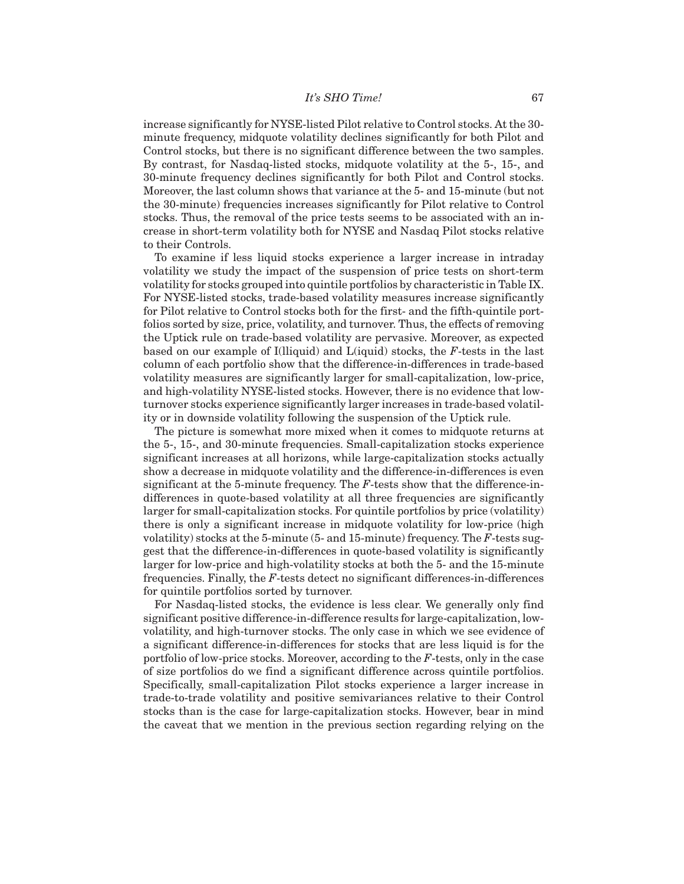increase significantly for NYSE-listed Pilot relative to Control stocks. At the 30 minute frequency, midquote volatility declines significantly for both Pilot and Control stocks, but there is no significant difference between the two samples. By contrast, for Nasdaq-listed stocks, midquote volatility at the 5-, 15-, and 30-minute frequency declines significantly for both Pilot and Control stocks. Moreover, the last column shows that variance at the 5- and 15-minute (but not the 30-minute) frequencies increases significantly for Pilot relative to Control stocks. Thus, the removal of the price tests seems to be associated with an increase in short-term volatility both for NYSE and Nasdaq Pilot stocks relative to their Controls.

To examine if less liquid stocks experience a larger increase in intraday volatility we study the impact of the suspension of price tests on short-term volatility for stocks grouped into quintile portfolios by characteristic in Table IX. For NYSE-listed stocks, trade-based volatility measures increase significantly for Pilot relative to Control stocks both for the first- and the fifth-quintile portfolios sorted by size, price, volatility, and turnover. Thus, the effects of removing the Uptick rule on trade-based volatility are pervasive. Moreover, as expected based on our example of I(lliquid) and L(iquid) stocks, the *F*-tests in the last column of each portfolio show that the difference-in-differences in trade-based volatility measures are significantly larger for small-capitalization, low-price, and high-volatility NYSE-listed stocks. However, there is no evidence that lowturnover stocks experience significantly larger increases in trade-based volatility or in downside volatility following the suspension of the Uptick rule.

The picture is somewhat more mixed when it comes to midquote returns at the 5-, 15-, and 30-minute frequencies. Small-capitalization stocks experience significant increases at all horizons, while large-capitalization stocks actually show a decrease in midquote volatility and the difference-in-differences is even significant at the 5-minute frequency. The *F*-tests show that the difference-indifferences in quote-based volatility at all three frequencies are significantly larger for small-capitalization stocks. For quintile portfolios by price (volatility) there is only a significant increase in midquote volatility for low-price (high volatility) stocks at the 5-minute (5- and 15-minute) frequency. The *F*-tests suggest that the difference-in-differences in quote-based volatility is significantly larger for low-price and high-volatility stocks at both the 5- and the 15-minute frequencies. Finally, the *F*-tests detect no significant differences-in-differences for quintile portfolios sorted by turnover.

For Nasdaq-listed stocks, the evidence is less clear. We generally only find significant positive difference-in-difference results for large-capitalization, lowvolatility, and high-turnover stocks. The only case in which we see evidence of a significant difference-in-differences for stocks that are less liquid is for the portfolio of low-price stocks. Moreover, according to the *F*-tests, only in the case of size portfolios do we find a significant difference across quintile portfolios. Specifically, small-capitalization Pilot stocks experience a larger increase in trade-to-trade volatility and positive semivariances relative to their Control stocks than is the case for large-capitalization stocks. However, bear in mind the caveat that we mention in the previous section regarding relying on the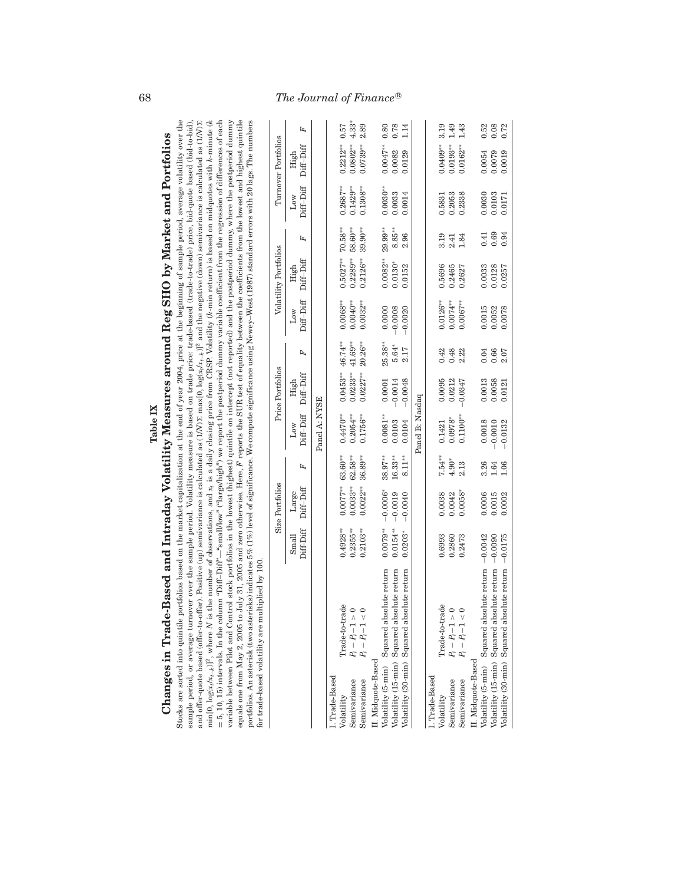| Changes in Trade-Based and Intraday Volatility Measures around Reg SHO by Market and Portfolios                                                                                                                                                                                                                                                                                                                                                                                                                                                                                                                                                                                                                                                                                                                                                                                                                                                                                                                                                                                                                                                                                                                                                                                                                                                                                                                                                                                                                              |                                    |               |                             |            |                             |     |                             |  |
|------------------------------------------------------------------------------------------------------------------------------------------------------------------------------------------------------------------------------------------------------------------------------------------------------------------------------------------------------------------------------------------------------------------------------------------------------------------------------------------------------------------------------------------------------------------------------------------------------------------------------------------------------------------------------------------------------------------------------------------------------------------------------------------------------------------------------------------------------------------------------------------------------------------------------------------------------------------------------------------------------------------------------------------------------------------------------------------------------------------------------------------------------------------------------------------------------------------------------------------------------------------------------------------------------------------------------------------------------------------------------------------------------------------------------------------------------------------------------------------------------------------------------|------------------------------------|---------------|-----------------------------|------------|-----------------------------|-----|-----------------------------|--|
| Stocks are sorted into quintile portfolios based on the market capitalization at the end of year 2004, price at the beginning of sample period, average volatility over the<br>$\min[0, \log(x_i/x_{i-1})]^2$ , where N is the number of observations, and x <sub>i</sub> is a daily closing price from CRSP. Volatility (k-min return) is based on midquotes with k-minute (k<br>equals one from May 2, 2005 to July 31, 2005 and zero otherwise. Here, P reports the SUR test of equality between the coefficients from the lowest and highest quintile<br>$=5,10,15$ intervals. In the column "Diff—"small/low" ("large/high") we report the postperiod dummy variable coefficient from the regression of differences of each<br>portfolios. An asterisk (two asterisks) indicates 5% (1%) level of significance. We compute significance using Newey–West (1987) standard errors with 20 lags. The numbers<br>sample period, or average turnover over the sample period. Volatility measure is based on trade price: trade-based (trade-to-trade) price, bid-quote based (bid-to-bid),<br>and offer-quote based (offer-to-offer). Positive (up) semivariance is calculated as $(1/N)$ max(0, $\log(x_k/x_{t-k}) ^2$ and the negative (down) semivariance is calculated as $(1/N)$ $\Sigma$<br>variable between Pilot and Control stock portfolios in the lowest (highest) quintile on intercept (not reported) and the postperiod dummy, where the postperiod dummy<br>for trade-based volatility are multiplied by 100. |                                    |               |                             |            |                             |     |                             |  |
|                                                                                                                                                                                                                                                                                                                                                                                                                                                                                                                                                                                                                                                                                                                                                                                                                                                                                                                                                                                                                                                                                                                                                                                                                                                                                                                                                                                                                                                                                                                              | Size Portfolios                    |               | Price Portfolios            |            | Volatility Portfolios       |     | Turnover Portfolios         |  |
|                                                                                                                                                                                                                                                                                                                                                                                                                                                                                                                                                                                                                                                                                                                                                                                                                                                                                                                                                                                                                                                                                                                                                                                                                                                                                                                                                                                                                                                                                                                              | Diff-Diff Diff-Diff<br>Small Large | TOM           | Diff-Diff Diff-Diff<br>High | <b>Low</b> | Diff-Diff Diff-Diff<br>High | Low | Diff-Diff Diff-Diff<br>High |  |
|                                                                                                                                                                                                                                                                                                                                                                                                                                                                                                                                                                                                                                                                                                                                                                                                                                                                                                                                                                                                                                                                                                                                                                                                                                                                                                                                                                                                                                                                                                                              |                                    | Panel A: NYSE |                             |            |                             |     |                             |  |
|                                                                                                                                                                                                                                                                                                                                                                                                                                                                                                                                                                                                                                                                                                                                                                                                                                                                                                                                                                                                                                                                                                                                                                                                                                                                                                                                                                                                                                                                                                                              |                                    |               |                             |            |                             |     |                             |  |

|                    |                                                           | Small            | Large<br>Diff-Diff         |            | Low                                                                | High                                                      |                      | Low                        | High                       |                      | Low                        | High                                                         |                  |
|--------------------|-----------------------------------------------------------|------------------|----------------------------|------------|--------------------------------------------------------------------|-----------------------------------------------------------|----------------------|----------------------------|----------------------------|----------------------|----------------------------|--------------------------------------------------------------|------------------|
|                    |                                                           | Diff-Diff        |                            | Þ          | Diff-Diff                                                          | Diff-Diff                                                 | Ŀ,                   | Diff-Diff                  | Diff-Diff                  |                      | Diff-Diff                  | Diff-Diff                                                    | F                |
|                    |                                                           |                  |                            |            | Panel A: NYSE                                                      |                                                           |                      |                            |                            |                      |                            |                                                              |                  |
| Trade-Based        |                                                           |                  |                            |            |                                                                    |                                                           |                      |                            |                            |                      |                            |                                                              |                  |
| Volatility         | Trade-to-trade                                            | $0.4928***$      | $0.0077***$                | $63.60***$ | $0.4470**$                                                         | $0.0453***$                                               | 46.74**              | $0.0068**$                 | $0.5027***$                | $70.58^{\ast\ast}$   | $0.2687***$                | $0.2212**$                                                   | 0.57             |
| Semivariance       | $\begin{aligned} P_t-P_t-1>0\\ P_t-P_t-1<0 \end{aligned}$ | $0.2355***$      | $0.0033***$                | $62.58***$ | $0.2054***$                                                        | $0.0233**$<br>$0.0227**$                                  | $41.69***$           | $0.0040**$                 | $0.2289***$                | 58.60**              | $0.1429***$                | $0.0802***$                                                  | $4.33^{\circ}$   |
| Semivariance       |                                                           | $0.2103**$       | $0.0022***$                | $36.89**$  | $0.1756**$                                                         |                                                           | $20.26***$           | $0.0032***$                | $0.2126**$                 | $39.90***$           | $0.1308**$                 | $0.0739**$                                                   | 2.89             |
| II. Midquote-Based |                                                           |                  |                            |            |                                                                    |                                                           |                      |                            |                            |                      |                            |                                                              |                  |
|                    | Volatility (5-min) Squared absolute return                | $0.0079***$      | $-0.0006$                  | 38.97**    | $0.0081***$                                                        | 0.0001                                                    | $25.38***$           | 0.0000                     | $0.0082***$                | $29.99***$           | $0.0030**$                 |                                                              | 0.80             |
|                    | Volatility (15-min) Squared absolute return               | $0.0154***$      | $-0.0019$                  | $16.33***$ | 0.0103                                                             | $-0.0014$                                                 | $5.64*$              | $-0.0008$                  | $0.0130^\ast$              | $8.85^{\ast\ast}$    | 0.0033                     | $\begin{array}{c} 0.0047^{**} \ 0.0082 \ 0.0129 \end{array}$ | 0.78<br>1.14     |
|                    | Volatility (30-min) Squared absolute return               | 0.0203           | $-0.0040$                  | $8.11***$  | 0.0104                                                             | $-0.0048$                                                 | 2.17                 | 0.0020                     | 0.0152                     | 2.96                 | 0.0014                     |                                                              |                  |
|                    |                                                           |                  |                            |            | Panel B: Nasdaq                                                    |                                                           |                      |                            |                            |                      |                            |                                                              |                  |
| L. Trade-Based     |                                                           |                  |                            |            |                                                                    |                                                           |                      |                            |                            |                      |                            |                                                              |                  |
| Volatility         | Trade-to-trade                                            | 0.6993           | 0.0038                     | $7.54***$  |                                                                    | 0.0095                                                    | 0.42                 |                            |                            |                      | 0.5831                     | $0.0409***$                                                  | 3.19             |
| Semivariance       | $\circ$<br>$P_t - P_{t-1} >$<br>$P_t - P_{t-1} <$         | 0.2860<br>0.2473 | 0.0042                     | $4.90*$    | $\begin{array}{c} 0.1421 \\ 0.0978^{*} \\ 0.1100^{**} \end{array}$ | 0.0212                                                    | 0.48<br>2.22         | $0.0126***$<br>$0.0074***$ | 0.5696<br>0.2465           | 9.41<br>2.41<br>1.84 | 0.2053                     | $0.0193***$                                                  | 1.49             |
| Semivariance       |                                                           |                  |                            | 2.13       |                                                                    | $-0.0347$                                                 |                      | $0.0067**$                 | 0.2627                     |                      | 0.2338                     | $0.0162**$                                                   | 1.43             |
| II. Midquote-Based |                                                           |                  |                            |            |                                                                    |                                                           |                      |                            |                            |                      |                            |                                                              |                  |
|                    | Volatility (5-min) Squared absolute return                | $-0.0042$        |                            | 3.26       | $0.0018$ -0.0010                                                   |                                                           |                      |                            |                            |                      |                            |                                                              |                  |
|                    | Volatility (15-min) Squared absolute return               | $-0.0090$        | 0.0006<br>0.0015<br>0.0002 | .64        |                                                                    | $\begin{array}{c} 0.0013 \\ 0.0058 \\ 0.0121 \end{array}$ | 0.04<br>0.66<br>2.07 | 0.0015<br>0.0052<br>0.0078 | 0.0033<br>0.0128<br>0.0257 | 0.41<br>0.69<br>0.94 | 0.0030<br>0.0103<br>0.0171 | 0.0054<br>0.0079<br>0.0019                                   | 3<br>0.8<br>0.72 |
|                    | Volatility (30-min) Squared absolute return               | $-0.0175$        |                            | 1.06       | $-0.0132$                                                          |                                                           |                      |                            |                            |                      |                            |                                                              |                  |

**Table IX**

Changes in Trade-Based and Intraday Volatility Measures around Reg SHO by Market and Portfolios

# **68** *The Journal of Finance*<sup>®</sup>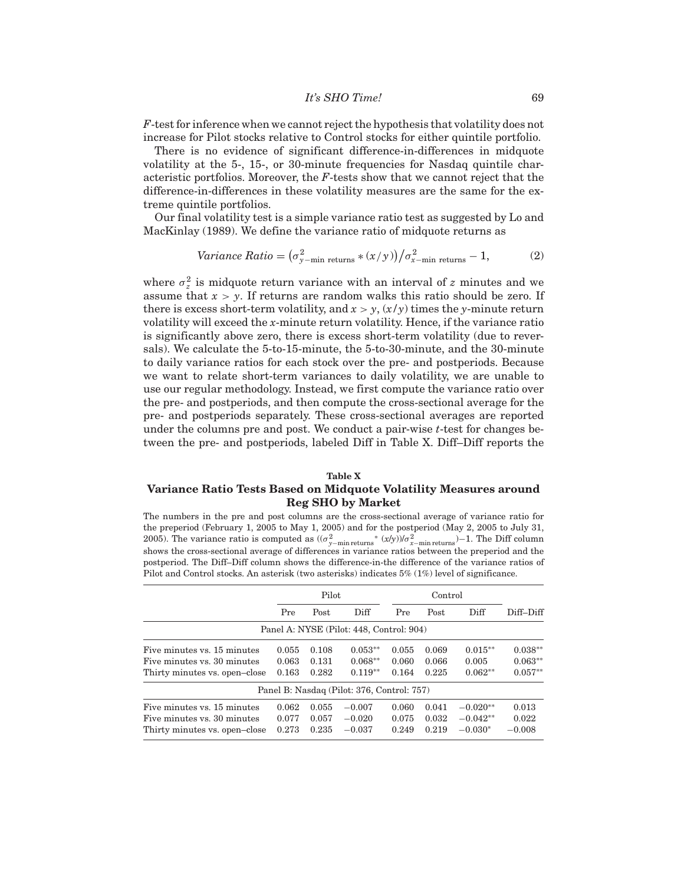# *It's SHO Time!* 69

*F*-test for inference when we cannot reject the hypothesis that volatility does not increase for Pilot stocks relative to Control stocks for either quintile portfolio.

There is no evidence of significant difference-in-differences in midquote volatility at the 5-, 15-, or 30-minute frequencies for Nasdaq quintile characteristic portfolios. Moreover, the *F*-tests show that we cannot reject that the difference-in-differences in these volatility measures are the same for the extreme quintile portfolios.

Our final volatility test is a simple variance ratio test as suggested by Lo and MacKinlay (1989). We define the variance ratio of midquote returns as

$$
Variance Ratio = (\sigma_{y-min \text{ returns}}^2 * (x/y)) / \sigma_{x-min \text{ returns}}^2 - 1,
$$
 (2)

where  $\sigma_z^2$  is midquote return variance with an interval of *z* minutes and we assume that  $x > y$ . If returns are random walks this ratio should be zero. If there is excess short-term volatility, and  $x > y$ ,  $(x/y)$  times the *y*-minute return volatility will exceed the *x*-minute return volatility. Hence, if the variance ratio is significantly above zero, there is excess short-term volatility (due to reversals). We calculate the 5-to-15-minute, the 5-to-30-minute, and the 30-minute to daily variance ratios for each stock over the pre- and postperiods. Because we want to relate short-term variances to daily volatility, we are unable to use our regular methodology. Instead, we first compute the variance ratio over the pre- and postperiods, and then compute the cross-sectional average for the pre- and postperiods separately. These cross-sectional averages are reported under the columns pre and post. We conduct a pair-wise *t*-test for changes between the pre- and postperiods, labeled Diff in Table X. Diff–Diff reports the

#### **Table X**

# **Variance Ratio Tests Based on Midquote Volatility Measures around Reg SHO by Market**

The numbers in the pre and post columns are the cross-sectional average of variance ratio for the preperiod (February 1, 2005 to May 1, 2005) and for the postperiod (May 2, 2005 to July 31, 2005). The variance ratio is computed as  $((\sigma_{y-\text{min returns}}^2 * (x/y))/\sigma_{x-\text{min returns}}^2)$ −1. The Diff column shows the cross-sectional average of differences in variance ratios between the preperiod and the postperiod. The Diff–Diff column shows the difference-in-the difference of the variance ratios of Pilot and Control stocks. An asterisk (two asterisks) indicates 5% (1%) level of significance.

|                                                                                             |                         | Pilot                   |                                            |                         | Control                 |                                       |                                     |
|---------------------------------------------------------------------------------------------|-------------------------|-------------------------|--------------------------------------------|-------------------------|-------------------------|---------------------------------------|-------------------------------------|
|                                                                                             | Pre                     | Post                    | Diff                                       | Pre                     | Post                    | Diff                                  | Diff-Diff                           |
|                                                                                             |                         |                         | Panel A: NYSE (Pilot: 448, Control: 904)   |                         |                         |                                       |                                     |
| Five minutes vs. 15 minutes<br>Five minutes vs. 30 minutes<br>Thirty minutes vs. open-close | 0.055<br>0.063<br>0.163 | 0.108<br>0.131<br>0.282 | $0.053**$<br>$0.068**$<br>$0.119**$        | 0.055<br>0.060<br>0.164 | 0.069<br>0.066<br>0.225 | $0.015**$<br>0.005<br>$0.062**$       | $0.038**$<br>$0.063**$<br>$0.057**$ |
|                                                                                             |                         |                         | Panel B: Nasdaq (Pilot: 376, Control: 757) |                         |                         |                                       |                                     |
| Five minutes vs. 15 minutes<br>Five minutes vs. 30 minutes<br>Thirty minutes vs. open-close | 0.062<br>0.077<br>0.273 | 0.055<br>0.057<br>0.235 | $-0.007$<br>$-0.020$<br>$-0.037$           | 0.060<br>0.075<br>0.249 | 0.041<br>0.032<br>0.219 | $-0.020**$<br>$-0.042**$<br>$-0.030*$ | 0.013<br>0.022<br>$-0.008$          |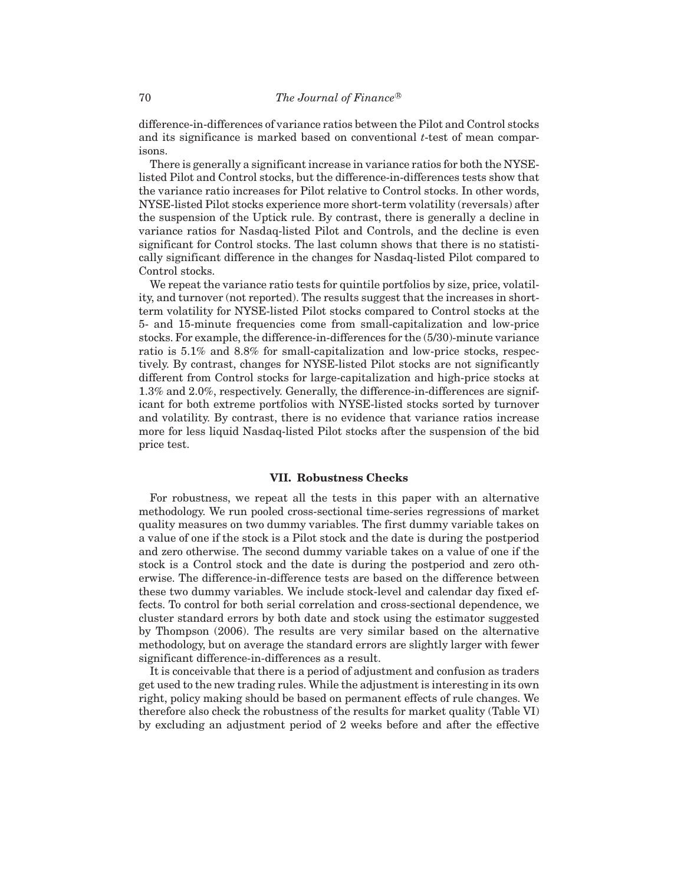difference-in-differences of variance ratios between the Pilot and Control stocks and its significance is marked based on conventional *t*-test of mean comparisons.

There is generally a significant increase in variance ratios for both the NYSElisted Pilot and Control stocks, but the difference-in-differences tests show that the variance ratio increases for Pilot relative to Control stocks. In other words, NYSE-listed Pilot stocks experience more short-term volatility (reversals) after the suspension of the Uptick rule. By contrast, there is generally a decline in variance ratios for Nasdaq-listed Pilot and Controls, and the decline is even significant for Control stocks. The last column shows that there is no statistically significant difference in the changes for Nasdaq-listed Pilot compared to Control stocks.

We repeat the variance ratio tests for quintile portfolios by size, price, volatility, and turnover (not reported). The results suggest that the increases in shortterm volatility for NYSE-listed Pilot stocks compared to Control stocks at the 5- and 15-minute frequencies come from small-capitalization and low-price stocks. For example, the difference-in-differences for the (5/30)-minute variance ratio is 5.1% and 8.8% for small-capitalization and low-price stocks, respectively. By contrast, changes for NYSE-listed Pilot stocks are not significantly different from Control stocks for large-capitalization and high-price stocks at 1.3% and 2.0%, respectively. Generally, the difference-in-differences are significant for both extreme portfolios with NYSE-listed stocks sorted by turnover and volatility. By contrast, there is no evidence that variance ratios increase more for less liquid Nasdaq-listed Pilot stocks after the suspension of the bid price test.

# **VII. Robustness Checks**

For robustness, we repeat all the tests in this paper with an alternative methodology. We run pooled cross-sectional time-series regressions of market quality measures on two dummy variables. The first dummy variable takes on a value of one if the stock is a Pilot stock and the date is during the postperiod and zero otherwise. The second dummy variable takes on a value of one if the stock is a Control stock and the date is during the postperiod and zero otherwise. The difference-in-difference tests are based on the difference between these two dummy variables. We include stock-level and calendar day fixed effects. To control for both serial correlation and cross-sectional dependence, we cluster standard errors by both date and stock using the estimator suggested by Thompson (2006). The results are very similar based on the alternative methodology, but on average the standard errors are slightly larger with fewer significant difference-in-differences as a result.

It is conceivable that there is a period of adjustment and confusion as traders get used to the new trading rules. While the adjustment is interesting in its own right, policy making should be based on permanent effects of rule changes. We therefore also check the robustness of the results for market quality (Table VI) by excluding an adjustment period of 2 weeks before and after the effective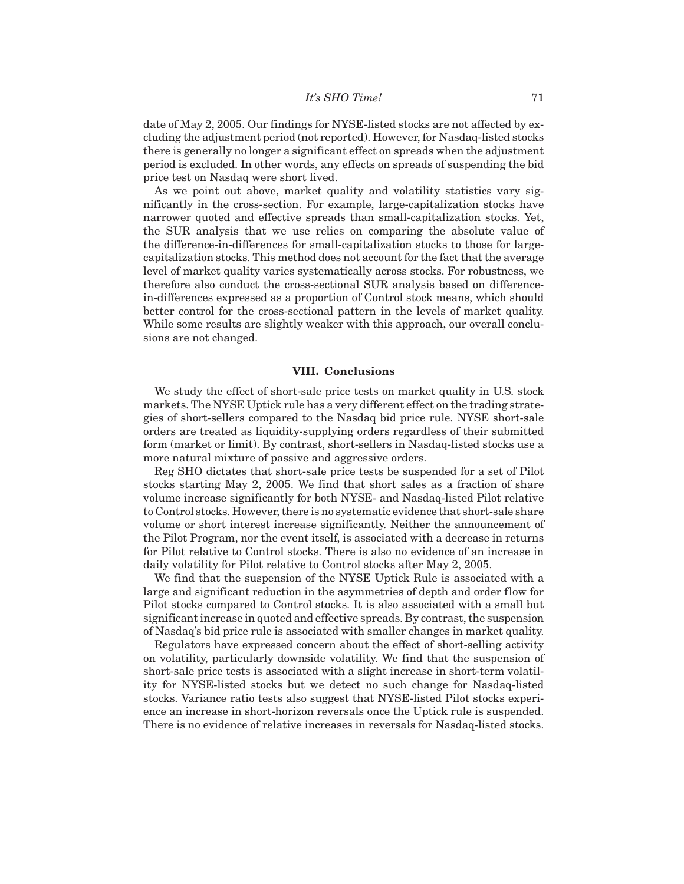date of May 2, 2005. Our findings for NYSE-listed stocks are not affected by excluding the adjustment period (not reported). However, for Nasdaq-listed stocks there is generally no longer a significant effect on spreads when the adjustment period is excluded. In other words, any effects on spreads of suspending the bid price test on Nasdaq were short lived.

As we point out above, market quality and volatility statistics vary significantly in the cross-section. For example, large-capitalization stocks have narrower quoted and effective spreads than small-capitalization stocks. Yet, the SUR analysis that we use relies on comparing the absolute value of the difference-in-differences for small-capitalization stocks to those for largecapitalization stocks. This method does not account for the fact that the average level of market quality varies systematically across stocks. For robustness, we therefore also conduct the cross-sectional SUR analysis based on differencein-differences expressed as a proportion of Control stock means, which should better control for the cross-sectional pattern in the levels of market quality. While some results are slightly weaker with this approach, our overall conclusions are not changed.

# **VIII. Conclusions**

We study the effect of short-sale price tests on market quality in U.S. stock markets. The NYSE Uptick rule has a very different effect on the trading strategies of short-sellers compared to the Nasdaq bid price rule. NYSE short-sale orders are treated as liquidity-supplying orders regardless of their submitted form (market or limit). By contrast, short-sellers in Nasdaq-listed stocks use a more natural mixture of passive and aggressive orders.

Reg SHO dictates that short-sale price tests be suspended for a set of Pilot stocks starting May 2, 2005. We find that short sales as a fraction of share volume increase significantly for both NYSE- and Nasdaq-listed Pilot relative to Control stocks. However, there is no systematic evidence that short-sale share volume or short interest increase significantly. Neither the announcement of the Pilot Program, nor the event itself, is associated with a decrease in returns for Pilot relative to Control stocks. There is also no evidence of an increase in daily volatility for Pilot relative to Control stocks after May 2, 2005.

We find that the suspension of the NYSE Uptick Rule is associated with a large and significant reduction in the asymmetries of depth and order flow for Pilot stocks compared to Control stocks. It is also associated with a small but significant increase in quoted and effective spreads. By contrast, the suspension of Nasdaq's bid price rule is associated with smaller changes in market quality.

Regulators have expressed concern about the effect of short-selling activity on volatility, particularly downside volatility. We find that the suspension of short-sale price tests is associated with a slight increase in short-term volatility for NYSE-listed stocks but we detect no such change for Nasdaq-listed stocks. Variance ratio tests also suggest that NYSE-listed Pilot stocks experience an increase in short-horizon reversals once the Uptick rule is suspended. There is no evidence of relative increases in reversals for Nasdaq-listed stocks.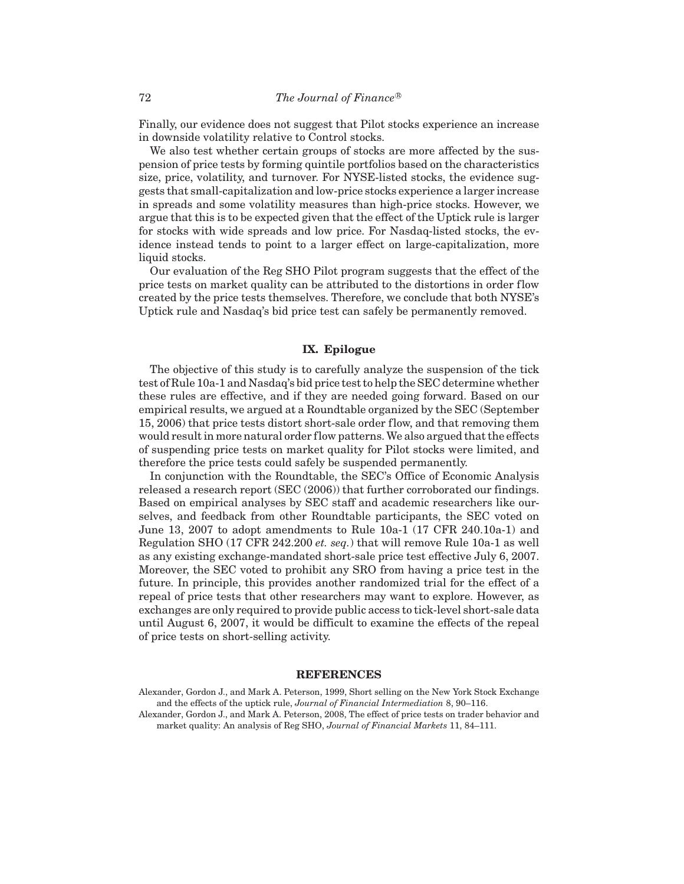Finally, our evidence does not suggest that Pilot stocks experience an increase in downside volatility relative to Control stocks.

We also test whether certain groups of stocks are more affected by the suspension of price tests by forming quintile portfolios based on the characteristics size, price, volatility, and turnover. For NYSE-listed stocks, the evidence suggests that small-capitalization and low-price stocks experience a larger increase in spreads and some volatility measures than high-price stocks. However, we argue that this is to be expected given that the effect of the Uptick rule is larger for stocks with wide spreads and low price. For Nasdaq-listed stocks, the evidence instead tends to point to a larger effect on large-capitalization, more liquid stocks.

Our evaluation of the Reg SHO Pilot program suggests that the effect of the price tests on market quality can be attributed to the distortions in order flow created by the price tests themselves. Therefore, we conclude that both NYSE's Uptick rule and Nasdaq's bid price test can safely be permanently removed.

# **IX. Epilogue**

The objective of this study is to carefully analyze the suspension of the tick test of Rule 10a-1 and Nasdaq's bid price test to help the SEC determine whether these rules are effective, and if they are needed going forward. Based on our empirical results, we argued at a Roundtable organized by the SEC (September 15, 2006) that price tests distort short-sale order flow, and that removing them would result in more natural order flow patterns. We also argued that the effects of suspending price tests on market quality for Pilot stocks were limited, and therefore the price tests could safely be suspended permanently.

In conjunction with the Roundtable, the SEC's Office of Economic Analysis released a research report (SEC (2006)) that further corroborated our findings. Based on empirical analyses by SEC staff and academic researchers like ourselves, and feedback from other Roundtable participants, the SEC voted on June 13, 2007 to adopt amendments to Rule 10a-1 (17 CFR 240.10a-1) and Regulation SHO (17 CFR 242.200 *et. seq.*) that will remove Rule 10a-1 as well as any existing exchange-mandated short-sale price test effective July 6, 2007. Moreover, the SEC voted to prohibit any SRO from having a price test in the future. In principle, this provides another randomized trial for the effect of a repeal of price tests that other researchers may want to explore. However, as exchanges are only required to provide public access to tick-level short-sale data until August 6, 2007, it would be difficult to examine the effects of the repeal of price tests on short-selling activity.

# **REFERENCES**

Alexander, Gordon J., and Mark A. Peterson, 1999, Short selling on the New York Stock Exchange and the effects of the uptick rule, *Journal of Financial Intermediation* 8, 90–116.

Alexander, Gordon J., and Mark A. Peterson, 2008, The effect of price tests on trader behavior and market quality: An analysis of Reg SHO, *Journal of Financial Markets* 11, 84–111.